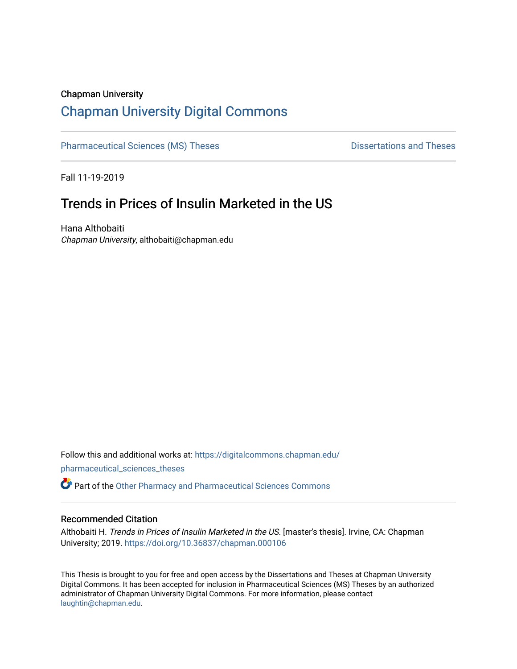#### Chapman University

# [Chapman University Digital Commons](https://digitalcommons.chapman.edu/)

[Pharmaceutical Sciences \(MS\) Theses](https://digitalcommons.chapman.edu/pharmaceutical_sciences_theses) **Dispared Accord Pharmaceutical Sciences** (MS) Theses

Fall 11-19-2019

# Trends in Prices of Insulin Marketed in the US

Hana Althobaiti Chapman University, althobaiti@chapman.edu

Follow this and additional works at: [https://digitalcommons.chapman.edu/](https://digitalcommons.chapman.edu/pharmaceutical_sciences_theses?utm_source=digitalcommons.chapman.edu%2Fpharmaceutical_sciences_theses%2F8&utm_medium=PDF&utm_campaign=PDFCoverPages) [pharmaceutical\\_sciences\\_theses](https://digitalcommons.chapman.edu/pharmaceutical_sciences_theses?utm_source=digitalcommons.chapman.edu%2Fpharmaceutical_sciences_theses%2F8&utm_medium=PDF&utm_campaign=PDFCoverPages) 

**P** Part of the [Other Pharmacy and Pharmaceutical Sciences Commons](http://network.bepress.com/hgg/discipline/737?utm_source=digitalcommons.chapman.edu%2Fpharmaceutical_sciences_theses%2F8&utm_medium=PDF&utm_campaign=PDFCoverPages)

#### Recommended Citation

Althobaiti H. Trends in Prices of Insulin Marketed in the US. [master's thesis]. Irvine, CA: Chapman University; 2019. <https://doi.org/10.36837/chapman.000106>

This Thesis is brought to you for free and open access by the Dissertations and Theses at Chapman University Digital Commons. It has been accepted for inclusion in Pharmaceutical Sciences (MS) Theses by an authorized administrator of Chapman University Digital Commons. For more information, please contact [laughtin@chapman.edu.](mailto:laughtin@chapman.edu)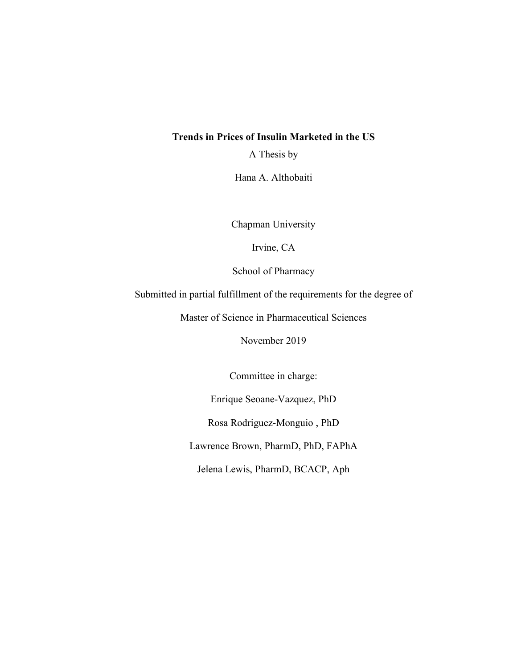### **Trends in Prices of Insulin Marketed in the US**

A Thesis by

Hana A. Althobaiti

Chapman University

Irvine, CA

School of Pharmacy

Submitted in partial fulfillment of the requirements for the degree of

Master of Science in Pharmaceutical Sciences

November 2019

Committee in charge:

Enrique Seoane-Vazquez, PhD

Rosa Rodriguez-Monguio , PhD

Lawrence Brown, PharmD, PhD, FAPhA

Jelena Lewis, PharmD, BCACP, Aph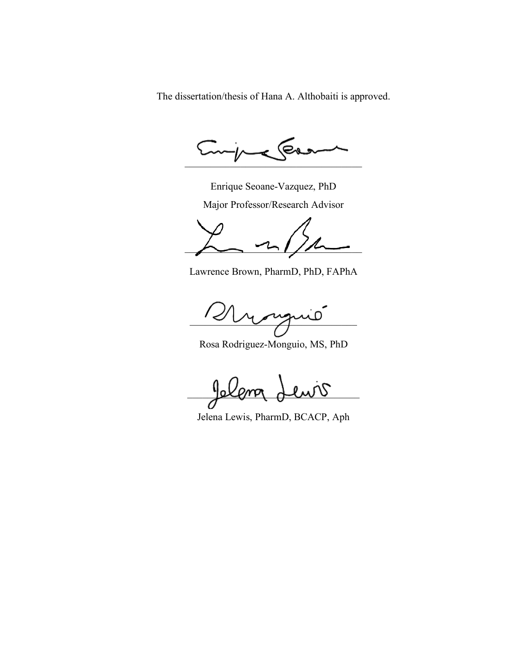The dissertation/thesis of Hana A. Althobaiti is approved.

(e.  $\sim$ 

Enrique Seoane-Vazquez, PhD

Major Professor/Research Advisor

 $\overline{\phantom{a}}$  and  $\overline{\phantom{a}}$ 

Lawrence Brown, PharmD, PhD, FAPhA

 $\sim$   $\sim$   $\sim$   $\sim$   $\sim$ 

Rosa Rodriguez-Monguio, MS, PhD

Jelana Lewis

Jelena Lewis, PharmD, BCACP, Aph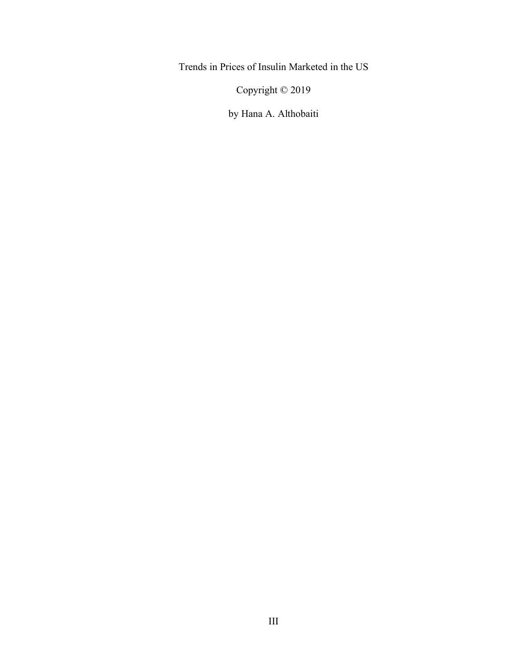Trends in Prices of Insulin Marketed in the US

Copyright © 2019

by Hana A. Althobaiti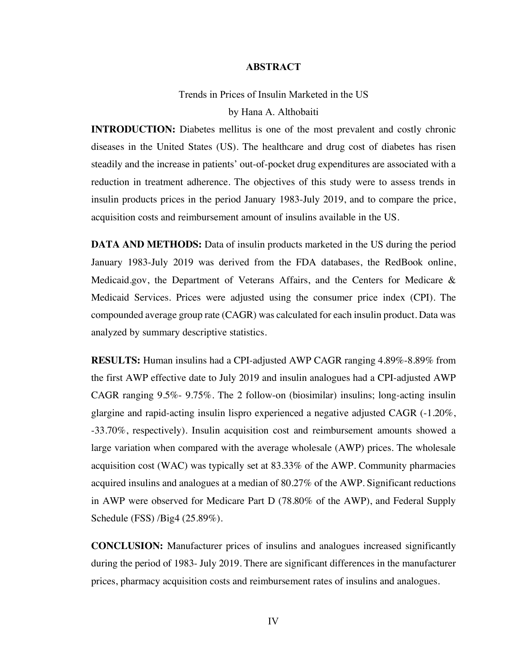#### **ABSTRACT**

# Trends in Prices of Insulin Marketed in the US by Hana A. Althobaiti

**INTRODUCTION:** Diabetes mellitus is one of the most prevalent and costly chronic diseases in the United States (US). The healthcare and drug cost of diabetes has risen steadily and the increase in patients' out-of-pocket drug expenditures are associated with a reduction in treatment adherence. The objectives of this study were to assess trends in insulin products prices in the period January 1983-July 2019, and to compare the price, acquisition costs and reimbursement amount of insulins available in the US.

**DATA AND METHODS:** Data of insulin products marketed in the US during the period January 1983-July 2019 was derived from the FDA databases, the RedBook online, Medicaid.gov, the Department of Veterans Affairs, and the Centers for Medicare & Medicaid Services. Prices were adjusted using the consumer price index (CPI). The compounded average group rate (CAGR) was calculated for each insulin product. Data was analyzed by summary descriptive statistics.

**RESULTS:** Human insulins had a CPI-adjusted AWP CAGR ranging 4.89%-8.89% from the first AWP effective date to July 2019 and insulin analogues had a CPI-adjusted AWP CAGR ranging 9.5%- 9.75%. The 2 follow-on (biosimilar) insulins; long-acting insulin glargine and rapid-acting insulin lispro experienced a negative adjusted CAGR (-1.20%, -33.70%, respectively). Insulin acquisition cost and reimbursement amounts showed a large variation when compared with the average wholesale (AWP) prices. The wholesale acquisition cost (WAC) was typically set at 83.33% of the AWP. Community pharmacies acquired insulins and analogues at a median of 80.27% of the AWP. Significant reductions in AWP were observed for Medicare Part D (78.80% of the AWP), and Federal Supply Schedule (FSS) /Big4 (25.89%).

**CONCLUSION:** Manufacturer prices of insulins and analogues increased significantly during the period of 1983- July 2019. There are significant differences in the manufacturer prices, pharmacy acquisition costs and reimbursement rates of insulins and analogues.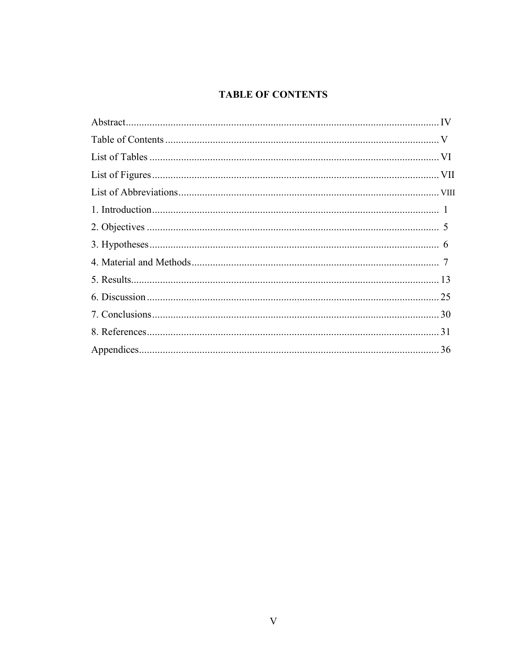# **TABLE OF CONTENTS**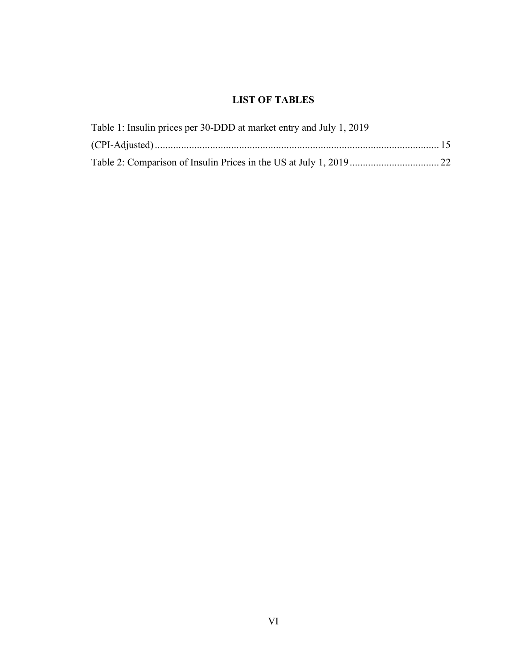# **LIST OF TABLES**

| Table 1: Insulin prices per 30-DDD at market entry and July 1, 2019 |  |
|---------------------------------------------------------------------|--|
|                                                                     |  |
|                                                                     |  |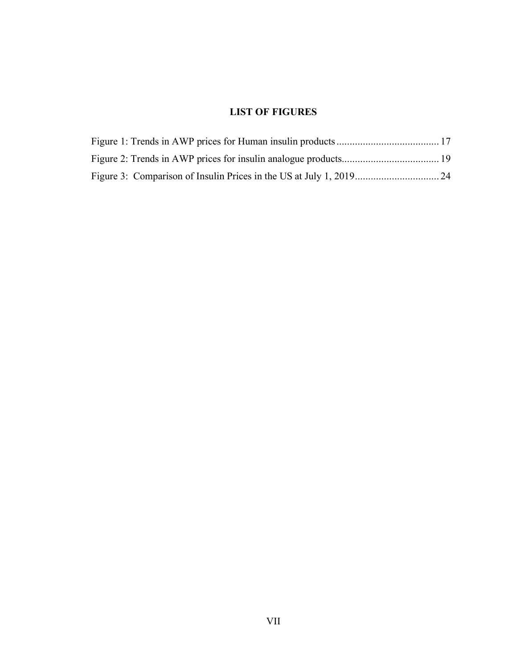## **LIST OF FIGURES**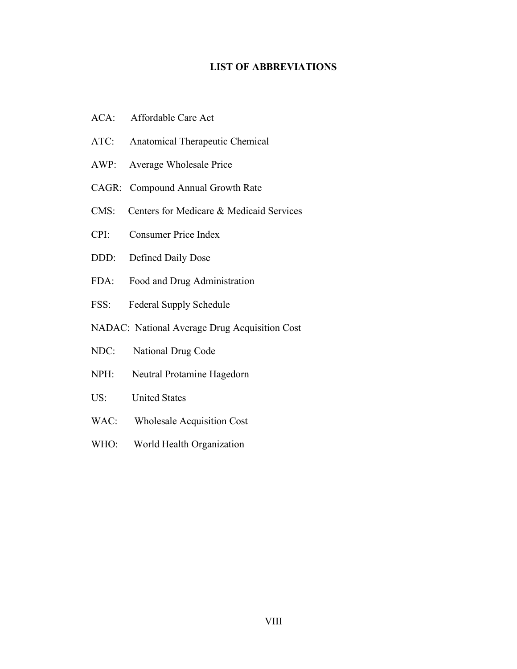### **LIST OF ABBREVIATIONS**

- ACA: Affordable Care Act
- ATC: Anatomical Therapeutic Chemical
- AWP: Average Wholesale Price
- CAGR: Compound Annual Growth Rate
- CMS: Centers for Medicare & Medicaid Services
- CPI: Consumer Price Index
- DDD: Defined Daily Dose
- FDA: Food and Drug Administration
- FSS: Federal Supply Schedule
- NADAC: National Average Drug Acquisition Cost
- NDC: National Drug Code
- NPH: Neutral Protamine Hagedorn
- US: United States
- WAC: Wholesale Acquisition Cost
- WHO: World Health Organization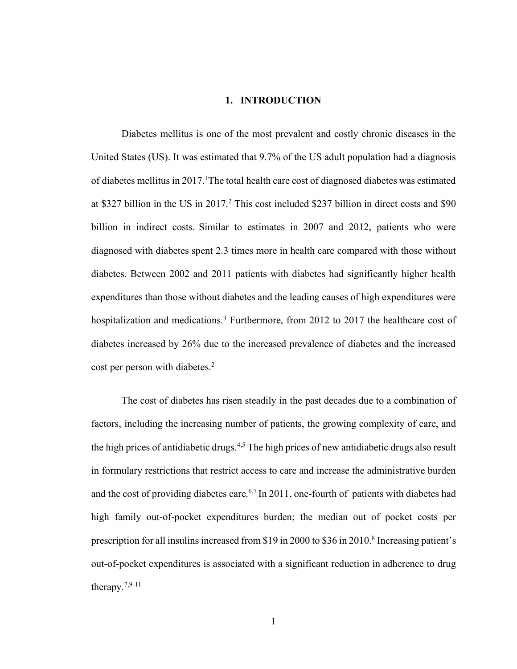#### **1. INTRODUCTION**

Diabetes mellitus is one of the most prevalent and costly chronic diseases in the United States (US). It was estimated that 9.7% of the US adult population had a diagnosis of diabetes mellitus in 2017.<sup>1</sup>The total health care cost of diagnosed diabetes was estimated at \$327 billion in the US in 2017.2 This cost included \$237 billion in direct costs and \$90 billion in indirect costs. Similar to estimates in 2007 and 2012, patients who were diagnosed with diabetes spent 2.3 times more in health care compared with those without diabetes. Between 2002 and 2011 patients with diabetes had significantly higher health expenditures than those without diabetes and the leading causes of high expenditures were hospitalization and medications.<sup>3</sup> Furthermore, from 2012 to 2017 the healthcare cost of diabetes increased by 26% due to the increased prevalence of diabetes and the increased cost per person with diabetes.<sup>2</sup>

The cost of diabetes has risen steadily in the past decades due to a combination of factors, including the increasing number of patients, the growing complexity of care, and the high prices of antidiabetic drugs.<sup>4,5</sup> The high prices of new antidiabetic drugs also result in formulary restrictions that restrict access to care and increase the administrative burden and the cost of providing diabetes care.<sup>6,7</sup> In 2011, one-fourth of patients with diabetes had high family out-of-pocket expenditures burden; the median out of pocket costs per prescription for all insulins increased from \$19 in 2000 to \$36 in 2010.<sup>8</sup> Increasing patient's out-of-pocket expenditures is associated with a significant reduction in adherence to drug therapy.7,9-11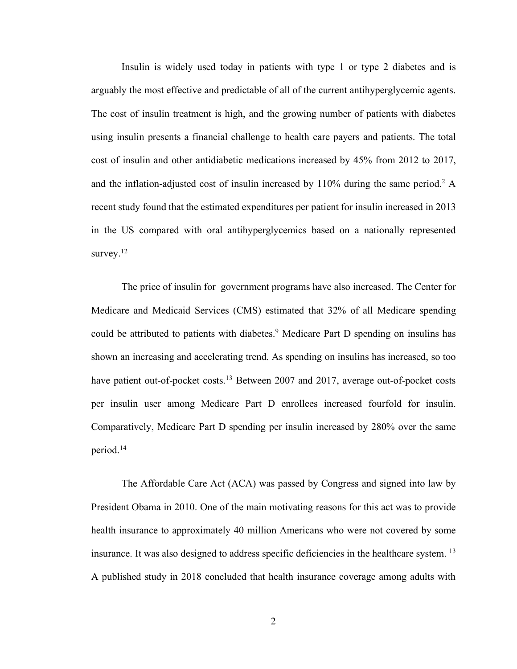Insulin is widely used today in patients with type 1 or type 2 diabetes and is arguably the most effective and predictable of all of the current antihyperglycemic agents. The cost of insulin treatment is high, and the growing number of patients with diabetes using insulin presents a financial challenge to health care payers and patients. The total cost of insulin and other antidiabetic medications increased by 45% from 2012 to 2017, and the inflation-adjusted cost of insulin increased by  $110\%$  during the same period.<sup>2</sup> A recent study found that the estimated expenditures per patient for insulin increased in 2013 in the US compared with oral antihyperglycemics based on a nationally represented survey. $12$ 

The price of insulin for government programs have also increased. The Center for Medicare and Medicaid Services (CMS) estimated that 32% of all Medicare spending could be attributed to patients with diabetes.<sup>9</sup> Medicare Part D spending on insulins has shown an increasing and accelerating trend. As spending on insulins has increased, so too have patient out-of-pocket costs.<sup>13</sup> Between 2007 and 2017, average out-of-pocket costs per insulin user among Medicare Part D enrollees increased fourfold for insulin. Comparatively, Medicare Part D spending per insulin increased by 280% over the same period.14

The Affordable Care Act (ACA) was passed by Congress and signed into law by President Obama in 2010. One of the main motivating reasons for this act was to provide health insurance to approximately 40 million Americans who were not covered by some insurance. It was also designed to address specific deficiencies in the healthcare system. <sup>13</sup> A published study in 2018 concluded that health insurance coverage among adults with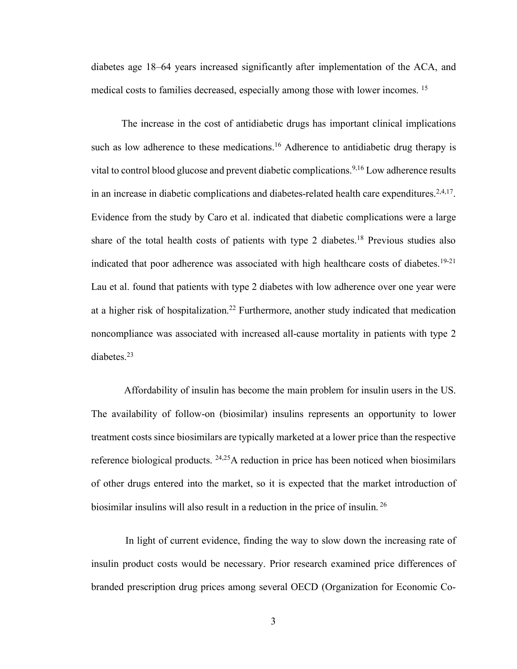diabetes age 18–64 years increased significantly after implementation of the ACA, and medical costs to families decreased, especially among those with lower incomes. 15

The increase in the cost of antidiabetic drugs has important clinical implications such as low adherence to these medications.<sup>16</sup> Adherence to antidiabetic drug therapy is vital to control blood glucose and prevent diabetic complications.<sup>9,16</sup> Low adherence results in an increase in diabetic complications and diabetes-related health care expenditures.<sup>2,4,17</sup>. Evidence from the study by Caro et al. indicated that diabetic complications were a large share of the total health costs of patients with type 2 diabetes.<sup>18</sup> Previous studies also indicated that poor adherence was associated with high healthcare costs of diabetes.<sup>19-21</sup> Lau et al. found that patients with type 2 diabetes with low adherence over one year were at a higher risk of hospitalization.<sup>22</sup> Furthermore, another study indicated that medication noncompliance was associated with increased all-cause mortality in patients with type 2 diabetes.<sup>23</sup>

Affordability of insulin has become the main problem for insulin users in the US. The availability of follow-on (biosimilar) insulins represents an opportunity to lower treatment costs since biosimilars are typically marketed at a lower price than the respective reference biological products.  $24,25$ A reduction in price has been noticed when biosimilars of other drugs entered into the market, so it is expected that the market introduction of biosimilar insulins will also result in a reduction in the price of insulin. <sup>26</sup>

In light of current evidence, finding the way to slow down the increasing rate of insulin product costs would be necessary. Prior research examined price differences of branded prescription drug prices among several OECD (Organization for Economic Co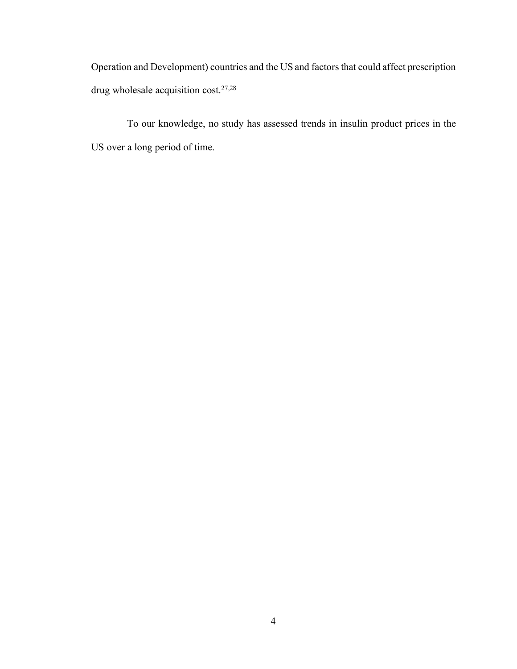Operation and Development) countries and the US and factors that could affect prescription drug wholesale acquisition cost. 27,28

To our knowledge, no study has assessed trends in insulin product prices in the US over a long period of time.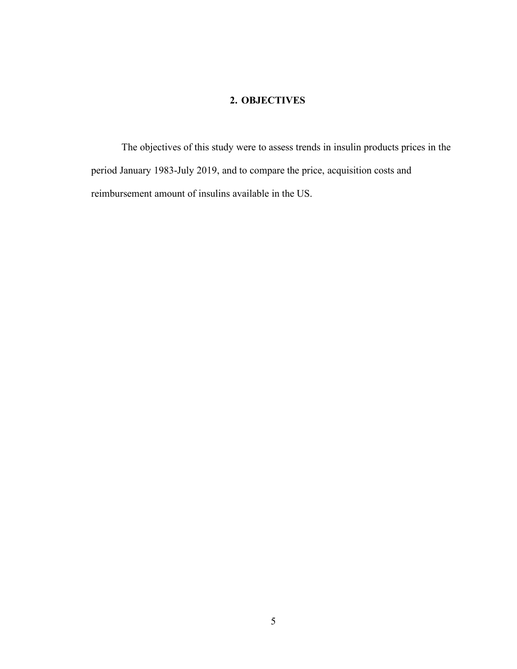### **2. OBJECTIVES**

The objectives of this study were to assess trends in insulin products prices in the period January 1983-July 2019, and to compare the price, acquisition costs and reimbursement amount of insulins available in the US.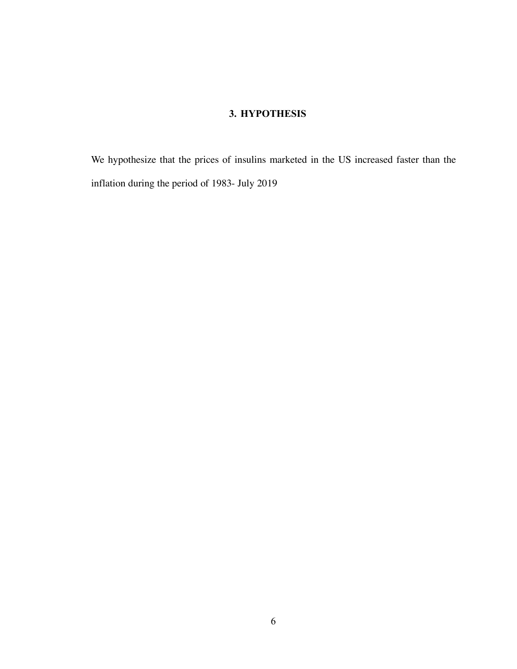## **3. HYPOTHESIS**

We hypothesize that the prices of insulins marketed in the US increased faster than the inflation during the period of 1983- July 2019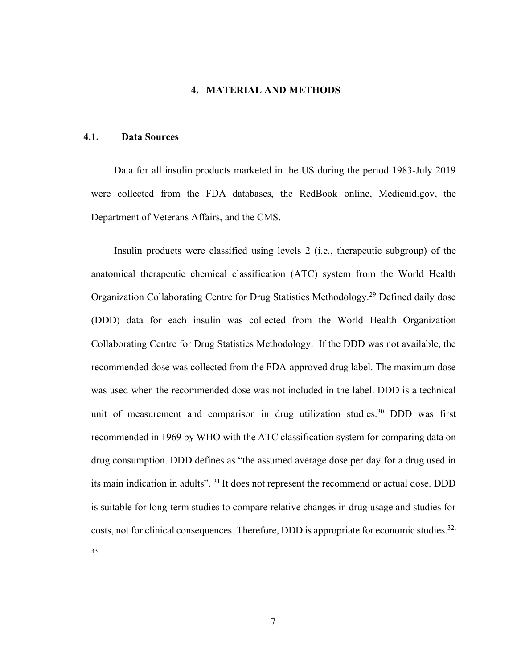### **4. MATERIAL AND METHODS**

#### **4.1. Data Sources**

Data for all insulin products marketed in the US during the period 1983-July 2019 were collected from the FDA databases, the RedBook online, Medicaid.gov, the Department of Veterans Affairs, and the CMS.

Insulin products were classified using levels 2 (i.e., therapeutic subgroup) of the anatomical therapeutic chemical classification (ATC) system from the World Health Organization Collaborating Centre for Drug Statistics Methodology.29 Defined daily dose (DDD) data for each insulin was collected from the World Health Organization Collaborating Centre for Drug Statistics Methodology. If the DDD was not available, the recommended dose was collected from the FDA-approved drug label. The maximum dose was used when the recommended dose was not included in the label. DDD is a technical unit of measurement and comparison in drug utilization studies.<sup>30</sup> DDD was first recommended in 1969 by WHO with the ATC classification system for comparing data on drug consumption. DDD defines as "the assumed average dose per day for a drug used in its main indication in adults". 31 It does not represent the recommend or actual dose. DDD is suitable for long-term studies to compare relative changes in drug usage and studies for costs, not for clinical consequences. Therefore, DDD is appropriate for economic studies.<sup>32,</sup> 33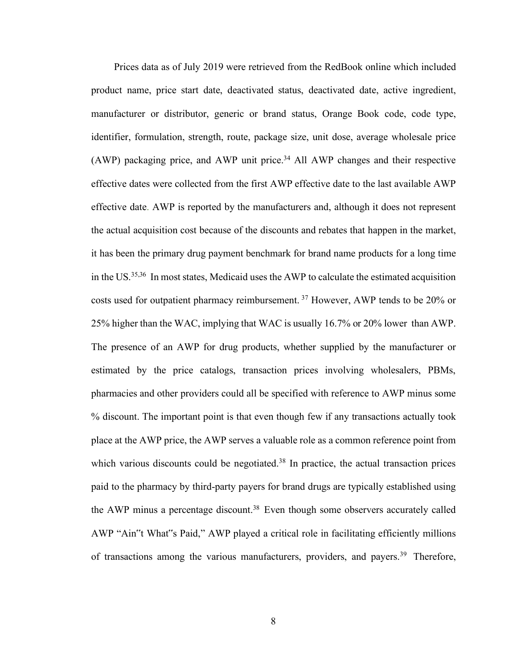Prices data as of July 2019 were retrieved from the RedBook online which included product name, price start date, deactivated status, deactivated date, active ingredient, manufacturer or distributor, generic or brand status, Orange Book code, code type, identifier, formulation, strength, route, package size, unit dose, average wholesale price (AWP) packaging price, and AWP unit price.<sup>34</sup> All AWP changes and their respective effective dates were collected from the first AWP effective date to the last available AWP effective date. AWP is reported by the manufacturers and, although it does not represent the actual acquisition cost because of the discounts and rebates that happen in the market, it has been the primary drug payment benchmark for brand name products for a long time in the US.35,36 In most states, Medicaid uses the AWP to calculate the estimated acquisition costs used for outpatient pharmacy reimbursement. <sup>37</sup> However, AWP tends to be 20% or 25% higher than the WAC, implying that WAC is usually 16.7% or 20% lower than AWP. The presence of an AWP for drug products, whether supplied by the manufacturer or estimated by the price catalogs, transaction prices involving wholesalers, PBMs, pharmacies and other providers could all be specified with reference to AWP minus some % discount. The important point is that even though few if any transactions actually took place at the AWP price, the AWP serves a valuable role as a common reference point from which various discounts could be negotiated.<sup>38</sup> In practice, the actual transaction prices paid to the pharmacy by third-party payers for brand drugs are typically established using the AWP minus a percentage discount.<sup>38</sup> Even though some observers accurately called AWP "Ain"t What"s Paid," AWP played a critical role in facilitating efficiently millions of transactions among the various manufacturers, providers, and payers.<sup>39</sup> Therefore,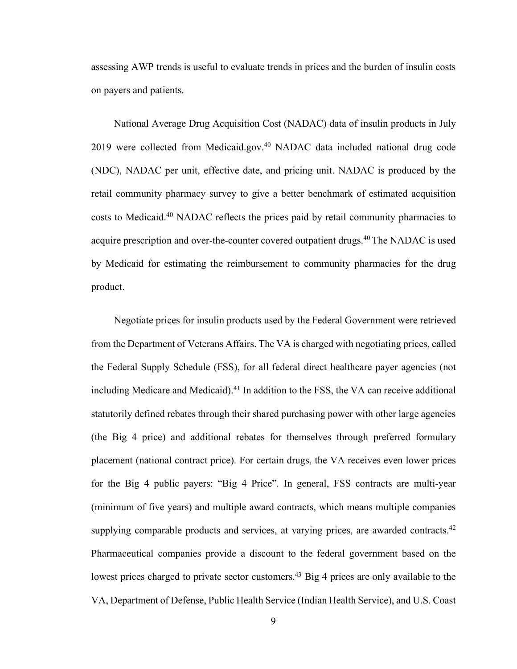assessing AWP trends is useful to evaluate trends in prices and the burden of insulin costs on payers and patients.

National Average Drug Acquisition Cost (NADAC) data of insulin products in July 2019 were collected from Medicaid.gov.<sup>40</sup> NADAC data included national drug code (NDC), NADAC per unit, effective date, and pricing unit. NADAC is produced by the retail community pharmacy survey to give a better benchmark of estimated acquisition costs to Medicaid.40 NADAC reflects the prices paid by retail community pharmacies to acquire prescription and over-the-counter covered outpatient drugs.<sup>40</sup> The NADAC is used by Medicaid for estimating the reimbursement to community pharmacies for the drug product.

Negotiate prices for insulin products used by the Federal Government were retrieved from the Department of Veterans Affairs. The VA is charged with negotiating prices, called the Federal Supply Schedule (FSS), for all federal direct healthcare payer agencies (not including Medicare and Medicaid).<sup>41</sup> In addition to the FSS, the VA can receive additional statutorily defined rebates through their shared purchasing power with other large agencies (the Big 4 price) and additional rebates for themselves through preferred formulary placement (national contract price). For certain drugs, the VA receives even lower prices for the Big 4 public payers: "Big 4 Price". In general, FSS contracts are multi-year (minimum of five years) and multiple award contracts, which means multiple companies supplying comparable products and services, at varying prices, are awarded contracts.<sup>42</sup> Pharmaceutical companies provide a discount to the federal government based on the lowest prices charged to private sector customers.<sup>43</sup> Big 4 prices are only available to the VA, Department of Defense, Public Health Service (Indian Health Service), and U.S. Coast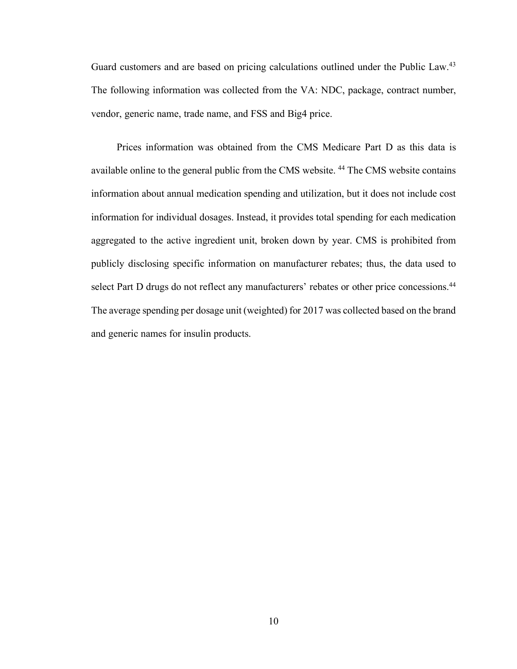Guard customers and are based on pricing calculations outlined under the Public Law.<sup>43</sup> The following information was collected from the VA: NDC, package, contract number, vendor, generic name, trade name, and FSS and Big4 price.

Prices information was obtained from the CMS Medicare Part D as this data is available online to the general public from the CMS website. 44 The CMS website contains information about annual medication spending and utilization, but it does not include cost information for individual dosages. Instead, it provides total spending for each medication aggregated to the active ingredient unit, broken down by year. CMS is prohibited from publicly disclosing specific information on manufacturer rebates; thus, the data used to select Part D drugs do not reflect any manufacturers' rebates or other price concessions.<sup>44</sup> The average spending per dosage unit (weighted) for 2017 was collected based on the brand and generic names for insulin products.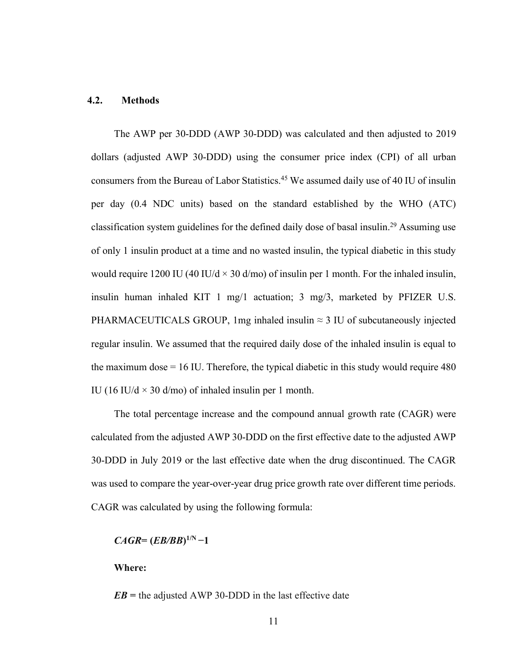#### **4.2. Methods**

The AWP per 30-DDD (AWP 30-DDD) was calculated and then adjusted to 2019 dollars (adjusted AWP 30-DDD) using the consumer price index (CPI) of all urban consumers from the Bureau of Labor Statistics.<sup>45</sup> We assumed daily use of 40 IU of insulin per day (0.4 NDC units) based on the standard established by the WHO (ATC) classification system guidelines for the defined daily dose of basal insulin.29 Assuming use of only 1 insulin product at a time and no wasted insulin, the typical diabetic in this study would require 1200 IU (40 IU/d  $\times$  30 d/mo) of insulin per 1 month. For the inhaled insulin, insulin human inhaled KIT 1 mg/1 actuation; 3 mg/3, marketed by PFIZER U.S. PHARMACEUTICALS GROUP, 1mg inhaled insulin  $\approx$  3 IU of subcutaneously injected regular insulin. We assumed that the required daily dose of the inhaled insulin is equal to the maximum dose = 16 IU. Therefore, the typical diabetic in this study would require 480 IU (16 IU/d  $\times$  30 d/mo) of inhaled insulin per 1 month.

The total percentage increase and the compound annual growth rate (CAGR) were calculated from the adjusted AWP 30-DDD on the first effective date to the adjusted AWP 30-DDD in July 2019 or the last effective date when the drug discontinued. The CAGR was used to compare the year-over-year drug price growth rate over different time periods. CAGR was calculated by using the following formula:

 $CAGR = (EB/BB)^{1/N} - 1$ 

**Where:**

 $EB$  = the adjusted AWP 30-DDD in the last effective date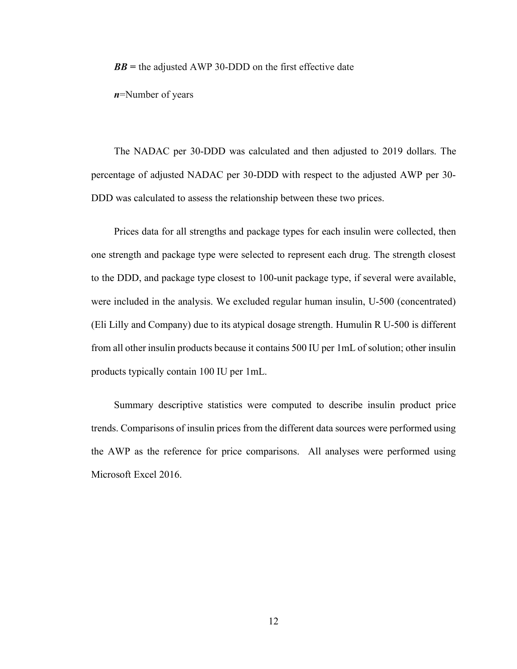*BB* **=** the adjusted AWP 30-DDD on the first effective date

*n*=Number of years

The NADAC per 30-DDD was calculated and then adjusted to 2019 dollars. The percentage of adjusted NADAC per 30-DDD with respect to the adjusted AWP per 30- DDD was calculated to assess the relationship between these two prices.

Prices data for all strengths and package types for each insulin were collected, then one strength and package type were selected to represent each drug. The strength closest to the DDD, and package type closest to 100-unit package type, if several were available, were included in the analysis. We excluded regular human insulin, U-500 (concentrated) (Eli Lilly and Company) due to its atypical dosage strength. Humulin R U-500 is different from all other insulin products because it contains 500 IU per 1mL of solution; other insulin products typically contain 100 IU per 1mL.

Summary descriptive statistics were computed to describe insulin product price trends. Comparisons of insulin prices from the different data sources were performed using the AWP as the reference for price comparisons. All analyses were performed using Microsoft Excel 2016.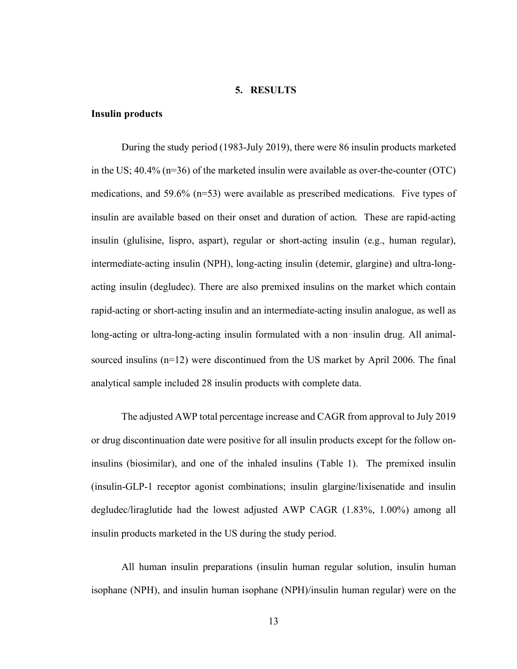#### **5. RESULTS**

#### **Insulin products**

During the study period (1983-July 2019), there were 86 insulin products marketed in the US; 40.4% (n=36) of the marketed insulin were available as over-the-counter (OTC) medications, and 59.6% (n=53) were available as prescribed medications. Five types of insulin are available based on their onset and duration of action. These are rapid-acting insulin (glulisine, lispro, aspart), regular or short-acting insulin (e.g., human regular), intermediate-acting insulin (NPH), long-acting insulin (detemir, glargine) and ultra-longacting insulin (degludec). There are also premixed insulins on the market which contain rapid-acting or short-acting insulin and an intermediate-acting insulin analogue, as well as long-acting or ultra-long-acting insulin formulated with a non-insulin drug. All animalsourced insulins (n=12) were discontinued from the US market by April 2006. The final analytical sample included 28 insulin products with complete data.

The adjusted AWP total percentage increase and CAGR from approval to July 2019 or drug discontinuation date were positive for all insulin products except for the follow oninsulins (biosimilar), and one of the inhaled insulins (Table 1). The premixed insulin (insulin-GLP-1 receptor agonist combinations; insulin glargine/lixisenatide and insulin degludec/liraglutide had the lowest adjusted AWP CAGR (1.83%, 1.00%) among all insulin products marketed in the US during the study period.

All human insulin preparations (insulin human regular solution, insulin human isophane (NPH), and insulin human isophane (NPH)/insulin human regular) were on the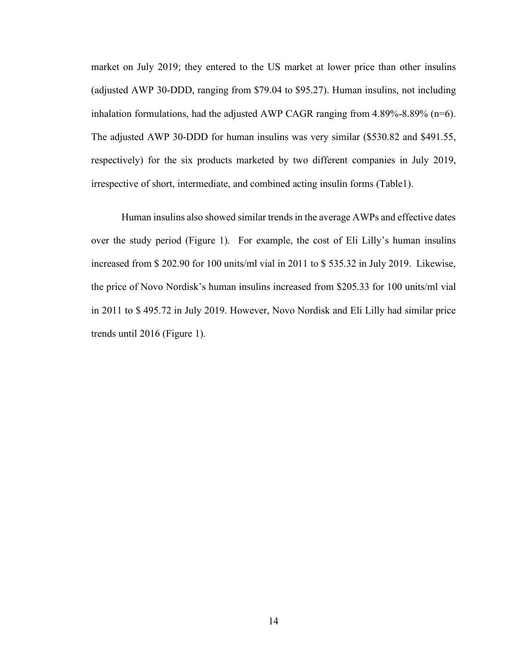market on July 2019; they entered to the US market at lower price than other insulins (adjusted AWP 30-DDD, ranging from \$79.04 to \$95.27). Human insulins, not including inhalation formulations, had the adjusted AWP CAGR ranging from  $4.89\%$ -8.89% (n=6). The adjusted AWP 30-DDD for human insulins was very similar (\$530.82 and \$491.55, respectively) for the six products marketed by two different companies in July 2019, irrespective of short, intermediate, and combined acting insulin forms (Table1).

Human insulins also showed similar trends in the average AWPs and effective dates over the study period (Figure 1). For example, the cost of Eli Lilly's human insulins increased from \$ 202.90 for 100 units/ml vial in 2011 to \$ 535.32 in July 2019. Likewise, the price of Novo Nordisk's human insulins increased from \$205.33 for 100 units/ml vial in 2011 to \$ 495.72 in July 2019. However, Novo Nordisk and Eli Lilly had similar price trends until 2016 (Figure 1).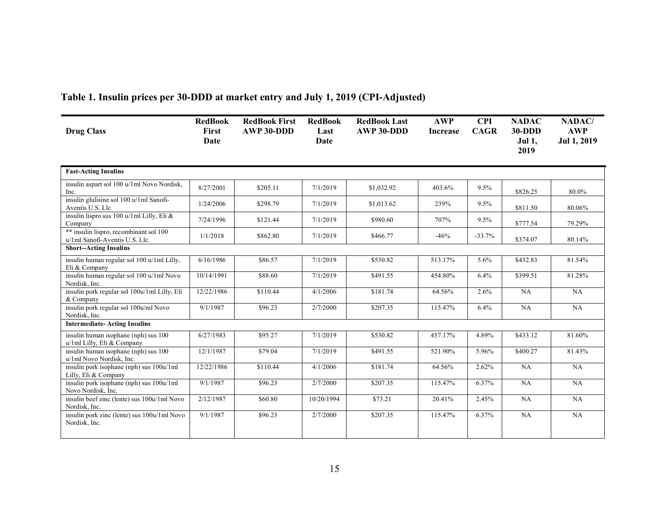| <b>Drug Class</b>                                                        | <b>RedBook</b><br><b>First</b><br>Date | <b>RedBook First</b><br>AWP 30-DDD | <b>RedBook</b><br>Last<br>Date | <b>RedBook Last</b><br>AWP 30-DDD | <b>AWP</b><br><b>Increase</b> | <b>CPI</b><br><b>CAGR</b> | <b>NADAC</b><br>$30-DDD$<br><b>Jul 1,</b><br>2019 | NADAC/<br><b>AWP</b><br><b>Jul 1, 2019</b> |
|--------------------------------------------------------------------------|----------------------------------------|------------------------------------|--------------------------------|-----------------------------------|-------------------------------|---------------------------|---------------------------------------------------|--------------------------------------------|
| <b>Fast-Acting Insulins</b>                                              |                                        |                                    |                                |                                   |                               |                           |                                                   |                                            |
| insulin aspart sol 100 u/1ml Novo Nordisk,<br>Inc.                       | 8/27/2001                              | \$205.11                           | 7/1/2019                       | \$1,032.92                        | 403.6%                        | 9.5%                      | \$826.25                                          | 80.0%                                      |
| insulin glulisine sol 100 u/1ml Sanofi-<br>Aventis U.S. Llc              | 1/24/2006                              | \$298.79                           | 7/1/2019                       | \$1,013.62                        | 239%                          | 9.5%                      | \$811.50                                          | 80.06%                                     |
| insulin lispro sus 100 u/1ml Lilly, Eli &<br>Company                     | 7/24/1996                              | \$121.44                           | 7/1/2019                       | \$980.60                          | 707%                          | 9.5%                      | \$777.54                                          | 79.29%                                     |
| ** insulin lispro, recombinant sol 100<br>u/1ml Sanofi-Aventis U.S. Llc. | 1/1/2018                               | \$862.80                           | 7/1/2019                       | \$466.77                          | $-46%$                        | $-33.7%$                  | \$374.07                                          | 80.14%                                     |
| <b>Short--Acting Insulins</b>                                            |                                        |                                    |                                |                                   |                               |                           |                                                   |                                            |
| insulin human regular sol 100 u/1ml Lilly,<br>Eli & Company              | 6/16/1986                              | \$86.57                            | 7/1/2019                       | \$530.82                          | 513.17%                       | 5.6%                      | \$432.83                                          | 81.54%                                     |
| insulin human regular sol 100 u/1ml Novo<br>Nordisk, Inc.                | 10/14/1991                             | \$88.60                            | 7/1/2019                       | \$491.55                          | 454.80%                       | 6.4%                      | \$399.51                                          | 81.28%                                     |
| insulin pork regular sol 100u/1ml Lilly, Eli<br>& Company                | 12/22/1986                             | \$110.44                           | 4/1/2006                       | \$181.74                          | 64.56%                        | 2.6%                      | NA                                                | NA                                         |
| insulin pork regular sol 100u/ml Novo<br>Nordisk, Inc.                   | 9/1/1987                               | \$96.23                            | 2/7/2000                       | \$207.35                          | 115.47%                       | 6.4%                      | NA                                                | NA                                         |
| <b>Intermediate-Acting Insulins</b>                                      |                                        |                                    |                                |                                   |                               |                           |                                                   |                                            |
| insulin human isophane (nph) sus 100<br>u/1ml Lilly, Eli & Company       | 6/27/1983                              | \$95.27                            | 7/1/2019                       | \$530.82                          | 457.17%                       | 4.89%                     | \$433.12                                          | 81.60%                                     |
| insulin human isophane (nph) sus 100<br>u/1ml Novo Nordisk, Inc.         | 12/1/1987                              | \$79.04                            | 7/1/2019                       | \$491.55                          | 521.90%                       | 5.96%                     | \$400.27                                          | 81.43%                                     |
| insulin pork isophane (nph) sus 100u/1ml<br>Lilly, Eli & Company         | 12/22/1986                             | \$110.44                           | 4/1/2006                       | \$181.74                          | 64.56%                        | 2.62%                     | NA                                                | NA                                         |
| insulin pork isophane (nph) sus 100u/1ml<br>Novo Nordisk, Inc.           | 9/1/1987                               | \$96.23                            | 2/7/2000                       | \$207.35                          | 115.47%                       | 6.37%                     | NA                                                | NA                                         |
| insulin beef zinc (lente) sus 100u/1ml Novo<br>Nordisk, Inc.             | 2/12/1987                              | \$60.80                            | 10/20/1994                     | \$73.21                           | 20.41%                        | 2.45%                     | NA                                                | NA                                         |
| insulin pork zinc (lente) sus 100u/1ml Novo<br>Nordisk, Inc.             | 9/1/1987                               | \$96.23                            | 2/7/2000                       | \$207.35                          | 115.47%                       | 6.37%                     | NA                                                | NA                                         |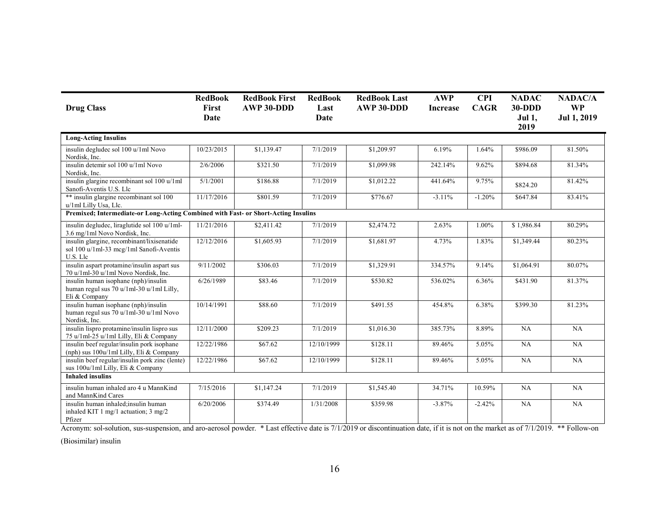| <b>Drug Class</b>                                                                                 | <b>RedBook</b><br>First<br>Date | <b>RedBook First</b><br>AWP 30-DDD | <b>RedBook</b><br>Last<br>Date | <b>RedBook Last</b><br>AWP 30-DDD | <b>AWP</b><br><b>Increase</b> | <b>CPI</b><br><b>CAGR</b> | <b>NADAC</b><br><b>30-DDD</b><br><b>Jul 1,</b><br>2019 | <b>NADAC/A</b><br><b>WP</b><br>Jul 1, 2019 |
|---------------------------------------------------------------------------------------------------|---------------------------------|------------------------------------|--------------------------------|-----------------------------------|-------------------------------|---------------------------|--------------------------------------------------------|--------------------------------------------|
| <b>Long-Acting Insulins</b>                                                                       |                                 |                                    |                                |                                   |                               |                           |                                                        |                                            |
| insulin degludec sol 100 u/1ml Novo<br>Nordisk, Inc.                                              | 10/23/2015                      | \$1,139.47                         | 7/1/2019                       | \$1,209.97                        | 6.19%                         | 1.64%                     | \$986.09                                               | 81.50%                                     |
| insulin detemir sol 100 u/1ml Novo<br>Nordisk, Inc.                                               | 2/6/2006                        | \$321.50                           | 7/1/2019                       | \$1,099.98                        | 242.14%                       | 9.62%                     | \$894.68                                               | 81.34%                                     |
| insulin glargine recombinant sol 100 u/1ml<br>Sanofi-Aventis U.S. Llc                             | 5/1/2001                        | \$186.88                           | 7/1/2019                       | \$1,012.22                        | 441.64%                       | 9.75%                     | \$824.20                                               | 81.42%                                     |
| ** insulin glargine recombinant sol 100<br>u/1ml Lilly Usa, Llc.                                  | 11/17/2016                      | \$801.59                           | 7/1/2019                       | \$776.67                          | $-3.11%$                      | $-1.20%$                  | \$647.84                                               | 83.41%                                     |
| Premixed; Intermediate-or Long-Acting Combined with Fast- or Short-Acting Insulins                |                                 |                                    |                                |                                   |                               |                           |                                                        |                                            |
| insulin degludec, liraglutide sol 100 u/1ml-<br>3.6 mg/1ml Novo Nordisk, Inc.                     | 11/21/2016                      | \$2,411.42                         | 7/1/2019                       | \$2,474.72                        | 2.63%                         | 1.00%                     | \$1,986.84                                             | 80.29%                                     |
| insulin glargine, recombinant/lixisenatide<br>sol 100 u/1ml-33 mcg/1ml Sanofi-Aventis<br>U.S. Llc | 12/12/2016                      | \$1,605.93                         | 7/1/2019                       | \$1,681.97                        | 4.73%                         | 1.83%                     | \$1,349.44                                             | 80.23%                                     |
| insulin aspart protamine/insulin aspart sus<br>70 u/1ml-30 u/1ml Novo Nordisk, Inc.               | 9/11/2002                       | \$306.03                           | 7/1/2019                       | \$1,329.91                        | 334.57%                       | 9.14%                     | \$1,064.91                                             | 80.07%                                     |
| insulin human isophane (nph)/insulin<br>human regul sus 70 u/1ml-30 u/1ml Lilly,<br>Eli & Company | 6/26/1989                       | \$83.46                            | 7/1/2019                       | \$530.82                          | 536.02%                       | 6.36%                     | \$431.90                                               | 81.37%                                     |
| insulin human isophane (nph)/insulin<br>human regul sus 70 u/1ml-30 u/1ml Novo<br>Nordisk, Inc.   | 10/14/1991                      | \$88.60                            | 7/1/2019                       | \$491.55                          | 454.8%                        | 6.38%                     | \$399.30                                               | 81.23%                                     |
| insulin lispro protamine/insulin lispro sus<br>75 u/1ml-25 u/1ml Lilly, Eli & Company             | 12/11/2000                      | \$209.23                           | 7/1/2019                       | \$1,016.30                        | 385.73%                       | 8.89%                     | NA                                                     | NA                                         |
| insulin beef regular/insulin pork isophane<br>(nph) sus 100u/1ml Lilly, Eli & Company             | 12/22/1986                      | \$67.62                            | 12/10/1999                     | \$128.11                          | 89.46%                        | 5.05%                     | NA                                                     | NA                                         |
| insulin beef regular/insulin pork zinc (lente)<br>sus 100u/1ml Lilly, Eli & Company               | 12/22/1986                      | \$67.62                            | 12/10/1999                     | \$128.11                          | 89.46%                        | 5.05%                     | NA                                                     | NA                                         |
| <b>Inhaled insulins</b>                                                                           |                                 |                                    |                                |                                   |                               |                           |                                                        |                                            |
| insulin human inhaled aro 4 u MannKind<br>and MannKind Cares                                      | 7/15/2016                       | \$1,147.24                         | 7/1/2019                       | \$1,545.40                        | 34.71%                        | 10.59%                    | NA                                                     | NA                                         |
| insulin human inhaled:insulin human<br>inhaled KIT 1 mg/1 actuation; $3 \text{ mg}/2$<br>Pfizer   | 6/20/2006                       | \$374.49                           | 1/31/2008                      | \$359.98                          | $-3.87%$                      | $-2.42%$                  | NA                                                     | NA                                         |

Acronym: sol-solution, sus-suspension, and aro-aerosol powder. \* Last effective date is 7/1/2019 or discontinuation date, if it is not on the market as of 7/1/2019. \*\* Follow-on

(Biosimilar) insulin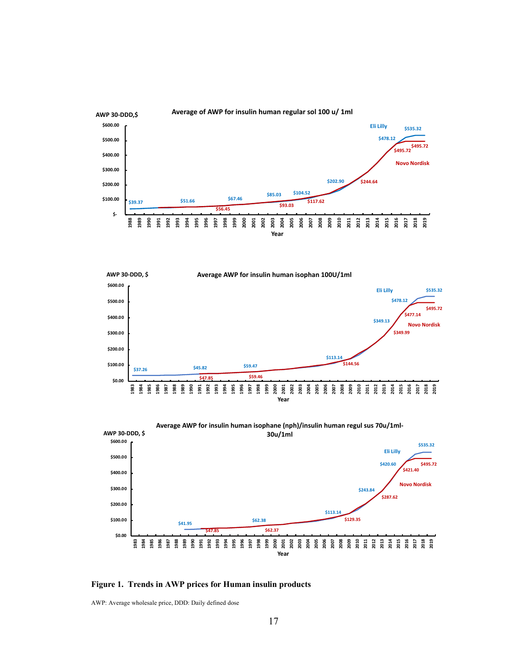





**Figure 1. Trends in AWP prices for Human insulin products**

AWP: Average wholesale price, DDD: Daily defined dose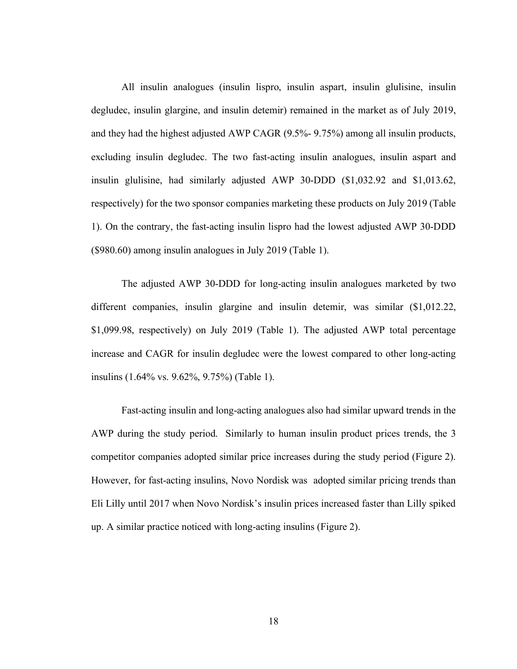All insulin analogues (insulin lispro, insulin aspart, insulin glulisine, insulin degludec, insulin glargine, and insulin detemir) remained in the market as of July 2019, and they had the highest adjusted AWP CAGR (9.5%- 9.75%) among all insulin products, excluding insulin degludec. The two fast-acting insulin analogues, insulin aspart and insulin glulisine, had similarly adjusted AWP 30-DDD (\$1,032.92 and \$1,013.62, respectively) for the two sponsor companies marketing these products on July 2019 (Table 1). On the contrary, the fast-acting insulin lispro had the lowest adjusted AWP 30-DDD (\$980.60) among insulin analogues in July 2019 (Table 1).

The adjusted AWP 30-DDD for long-acting insulin analogues marketed by two different companies, insulin glargine and insulin detemir, was similar (\$1,012.22, \$1,099.98, respectively) on July 2019 (Table 1). The adjusted AWP total percentage increase and CAGR for insulin degludec were the lowest compared to other long-acting insulins (1.64% vs. 9.62%, 9.75%) (Table 1).

Fast-acting insulin and long-acting analogues also had similar upward trends in the AWP during the study period. Similarly to human insulin product prices trends, the 3 competitor companies adopted similar price increases during the study period (Figure 2). However, for fast-acting insulins, Novo Nordisk was adopted similar pricing trends than Eli Lilly until 2017 when Novo Nordisk's insulin prices increased faster than Lilly spiked up. A similar practice noticed with long-acting insulins (Figure 2).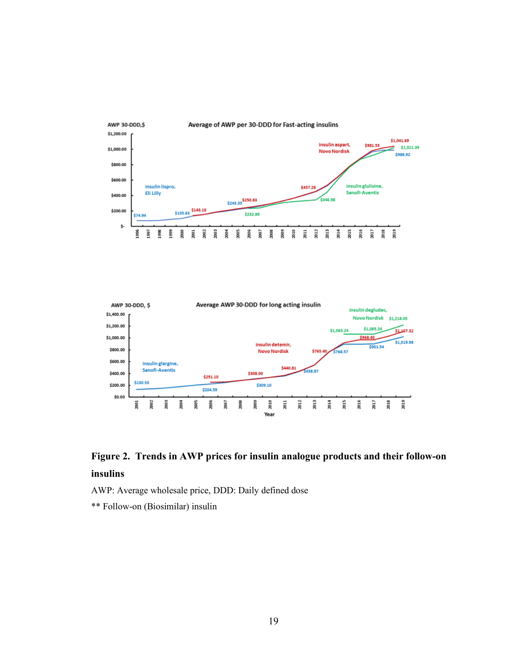



# **Figure 2. Trends in AWP prices for insulin analogue products and their follow-on insulins**

AWP: Average wholesale price, DDD: Daily defined dose

\*\* Follow-on (Biosimilar) insulin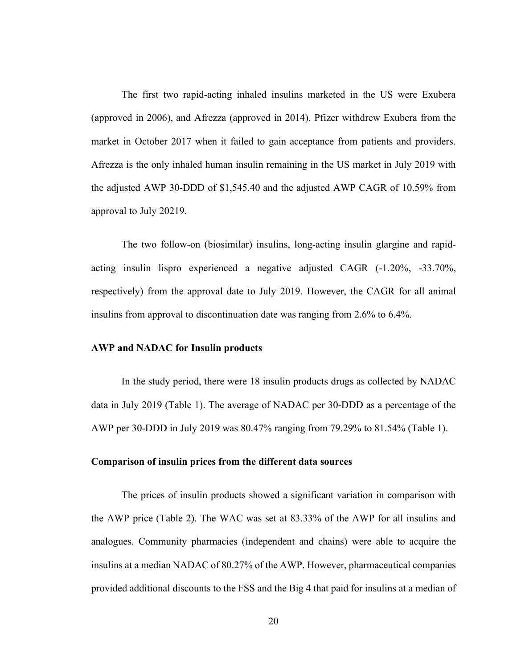The first two rapid-acting inhaled insulins marketed in the US were Exubera (approved in 2006), and Afrezza (approved in 2014). Pfizer withdrew Exubera from the market in October 2017 when it failed to gain acceptance from patients and providers. Afrezza is the only inhaled human insulin remaining in the US market in July 2019 with the adjusted AWP 30-DDD of \$1,545.40 and the adjusted AWP CAGR of 10.59% from approval to July 20219.

The two follow-on (biosimilar) insulins, long-acting insulin glargine and rapidacting insulin lispro experienced a negative adjusted CAGR (-1.20%, -33.70%, respectively) from the approval date to July 2019. However, the CAGR for all animal insulins from approval to discontinuation date was ranging from 2.6% to 6.4%.

#### **AWP and NADAC for Insulin products**

In the study period, there were 18 insulin products drugs as collected by NADAC data in July 2019 (Table 1). The average of NADAC per 30-DDD as a percentage of the AWP per 30-DDD in July 2019 was 80.47% ranging from 79.29% to 81.54% (Table 1).

#### **Comparison of insulin prices from the different data sources**

The prices of insulin products showed a significant variation in comparison with the AWP price (Table 2). The WAC was set at 83.33% of the AWP for all insulins and analogues. Community pharmacies (independent and chains) were able to acquire the insulins at a median NADAC of 80.27% of the AWP. However, pharmaceutical companies provided additional discounts to the FSS and the Big 4 that paid for insulins at a median of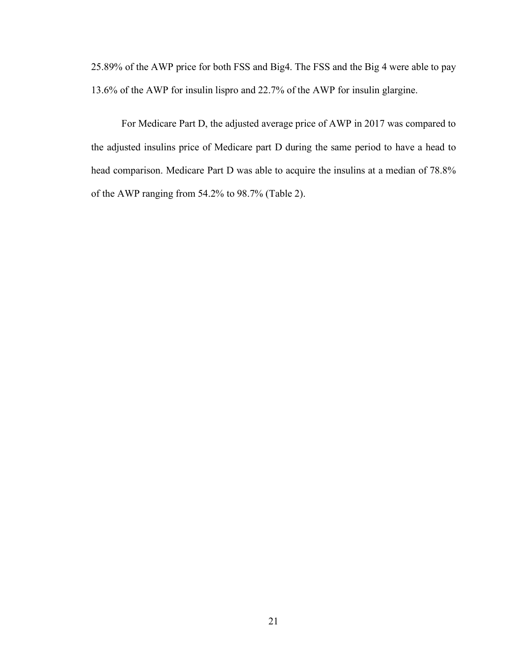25.89% of the AWP price for both FSS and Big4. The FSS and the Big 4 were able to pay 13.6% of the AWP for insulin lispro and 22.7% of the AWP for insulin glargine.

For Medicare Part D, the adjusted average price of AWP in 2017 was compared to the adjusted insulins price of Medicare part D during the same period to have a head to head comparison. Medicare Part D was able to acquire the insulins at a median of 78.8% of the AWP ranging from 54.2% to 98.7% (Table 2).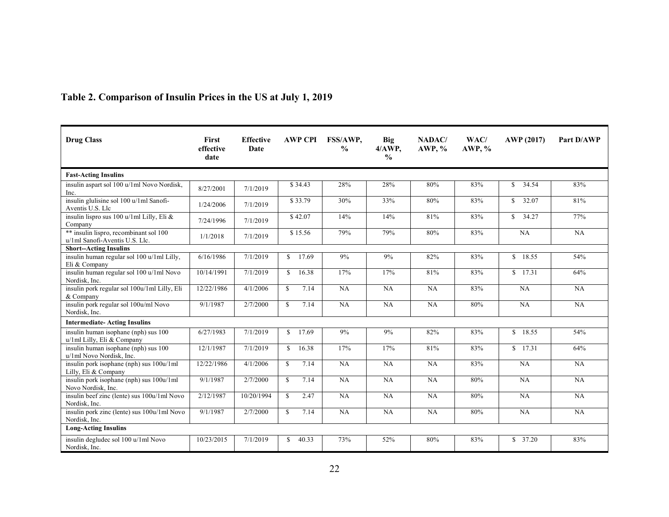| <b>Drug Class</b>                                                        | <b>First</b><br>effective<br>date | <b>Effective</b><br>Date |               | <b>AWP CPI</b> | FSS/AWP,<br>$\frac{0}{0}$ | Big<br>$4/AWP$ ,<br>$\frac{0}{0}$ | NADAC/<br><b>AWP, %</b> | WAC/<br><b>AWP, %</b> | AWP (2017)            | Part D/AWP |
|--------------------------------------------------------------------------|-----------------------------------|--------------------------|---------------|----------------|---------------------------|-----------------------------------|-------------------------|-----------------------|-----------------------|------------|
| <b>Fast-Acting Insulins</b>                                              |                                   |                          |               |                |                           |                                   |                         |                       |                       |            |
| insulin aspart sol 100 u/1ml Novo Nordisk,<br>Inc.                       | 8/27/2001                         | 7/1/2019                 |               | \$34.43        | 28%                       | 28%                               | 80%                     | 83%                   | $\overline{\$}$ 34.54 | 83%        |
| insulin glulisine sol 100 u/1ml Sanofi-<br>Aventis U.S. Llc              | 1/24/2006                         | 7/1/2019                 |               | \$33.79        | 30%                       | 33%                               | 80%                     | 83%                   | 32.07<br>\$.          | 81%        |
| insulin lispro sus 100 u/1ml Lilly, Eli &<br>Company                     | 7/24/1996                         | 7/1/2019                 |               | \$42.07        | 14%                       | 14%                               | 81%                     | 83%                   | 34.27<br>\$.          | 77%        |
| ** insulin lispro, recombinant sol 100<br>u/1ml Sanofi-Aventis U.S. Llc. | 1/1/2018                          | 7/1/2019                 |               | \$15.56        | 79%                       | 79%                               | 80%                     | 83%                   | NA                    | NA         |
| <b>Short--Acting Insulins</b>                                            |                                   |                          |               |                |                           |                                   |                         |                       |                       |            |
| insulin human regular sol 100 u/1ml Lilly,<br>Eli & Company              | 6/16/1986                         | 7/1/2019                 | $\mathbf{s}$  | 17.69          | 9%                        | 9%                                | 82%                     | 83%                   | \$18.55               | 54%        |
| insulin human regular sol 100 u/1ml Novo<br>Nordisk. Inc.                | 10/14/1991                        | 7/1/2019                 | $\mathbb{S}$  | 16.38          | 17%                       | 17%                               | 81%                     | 83%                   | \$17.31               | 64%        |
| insulin pork regular sol 100u/1ml Lilly, Eli<br>& Company                | 12/22/1986                        | 4/1/2006                 | <sup>\$</sup> | 7.14           | NA                        | NA                                | NA                      | 83%                   | NA                    | NA         |
| insulin pork regular sol 100u/ml Novo<br>Nordisk, Inc.                   | 9/1/1987                          | 2/7/2000                 | $\mathcal{S}$ | 7.14           | NA                        | NA                                | <b>NA</b>               | 80%                   | NA                    | NA         |
| <b>Intermediate-Acting Insulins</b>                                      |                                   |                          |               |                |                           |                                   |                         |                       |                       |            |
| insulin human isophane (nph) sus 100<br>u/1ml Lilly, Eli & Company       | 6/27/1983                         | 7/1/2019                 | S.            | 17.69          | 9%                        | 9%                                | 82%                     | 83%                   | \$18.55               | 54%        |
| insulin human isophane (nph) sus 100<br>u/1ml Novo Nordisk, Inc.         | 12/1/1987                         | 7/1/2019                 | <sup>\$</sup> | 16.38          | 17%                       | 17%                               | 81%                     | 83%                   | \$17.31               | 64%        |
| insulin pork isophane (nph) sus 100u/1ml<br>Lilly, Eli & Company         | 12/22/1986                        | 4/1/2006                 | $\mathbb{S}$  | 7.14           | <b>NA</b>                 | <b>NA</b>                         | NA                      | 83%                   | NA                    | NA         |
| insulin pork isophane (nph) sus 100u/1ml<br>Novo Nordisk, Inc.           | 9/1/1987                          | 2/7/2000                 | $\mathcal{S}$ | 7.14           | NA                        | NA                                | NA                      | 80%                   | NA                    | NA         |
| insulin beef zinc (lente) sus 100u/1ml Novo<br>Nordisk, Inc.             | 2/12/1987                         | 10/20/1994               | \$.           | 2.47           | NA                        | NA                                | NA                      | 80%                   | NA                    | NA         |
| insulin pork zinc (lente) sus 100u/1ml Novo<br>Nordisk, Inc.             | 9/1/1987                          | 2/7/2000                 | \$.           | 7.14           | NA                        | NA                                | NA                      | 80%                   | NA                    | NA         |
| <b>Long-Acting Insulins</b>                                              |                                   |                          |               |                |                           |                                   |                         |                       |                       |            |
| insulin degludec sol 100 u/1ml Novo<br>Nordisk, Inc.                     | 10/23/2015                        | 7/1/2019                 | $\mathbb{S}$  | 40.33          | 73%                       | 52%                               | 80%                     | 83%                   | \$37.20               | 83%        |

# **Table 2. Comparison of Insulin Prices in the US at July 1, 2019**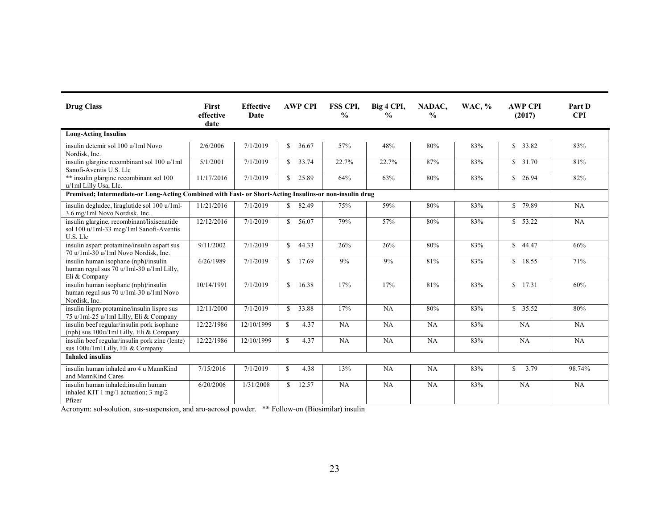| <b>Drug Class</b>                                                                                         | <b>First</b><br>effective<br>date | <b>Effective</b><br>Date |              | <b>AWP CPI</b> | <b>FSS CPL</b><br>$\frac{0}{0}$ | Big 4 CPI,<br>$\frac{0}{0}$ | NADAC,<br>$\frac{6}{6}$ | <b>WAC, %</b> | <b>AWP CPI</b><br>(2017) | Part D<br><b>CPI</b> |
|-----------------------------------------------------------------------------------------------------------|-----------------------------------|--------------------------|--------------|----------------|---------------------------------|-----------------------------|-------------------------|---------------|--------------------------|----------------------|
| <b>Long-Acting Insulins</b>                                                                               |                                   |                          |              |                |                                 |                             |                         |               |                          |                      |
| insulin detemir sol 100 u/1ml Novo<br>Nordisk, Inc.                                                       | 2/6/2006                          | 7/1/2019                 | S.           | 36.67          | 57%                             | 48%                         | 80%                     | 83%           | \$33.82                  | 83%                  |
| insulin glargine recombinant sol 100 u/1ml<br>Sanofi-Aventis U.S. Llc                                     | 5/1/2001                          | 7/1/2019                 |              | \$33.74        | 22.7%                           | 22.7%                       | 87%                     | 83%           | \$31.70                  | 81%                  |
| ** insulin glargine recombinant sol 100<br>u/1ml Lilly Usa, Llc.                                          | 11/17/2016                        | 7/1/2019                 |              | \$25.89        | 64%                             | 63%                         | 80%                     | 83%           | \$26.94                  | 82%                  |
| Premixed; Intermediate-or Long-Acting Combined with Fast- or Short-Acting Insulins-or non-insulin drug    |                                   |                          |              |                |                                 |                             |                         |               |                          |                      |
| insulin degludec, liraglutide sol 100 u/1ml-<br>3.6 mg/1ml Novo Nordisk, Inc.                             | 11/21/2016                        | 7/1/2019                 |              | \$82.49        | 75%                             | 59%                         | 80%                     | 83%           | \$79.89                  | NA                   |
| insulin glargine, recombinant/lixisenatide<br>sol 100 u/1ml-33 mcg/1ml Sanofi-Aventis<br>U.S. Llc         | 12/12/2016                        | 7/1/2019                 | $\mathbf{s}$ | 56.07          | 79%                             | 57%                         | 80%                     | 83%           | \$53.22                  | NA                   |
| insulin aspart protamine/insulin aspart sus<br>70 u/1ml-30 u/1ml Novo Nordisk, Inc.                       | 9/11/2002                         | 7/1/2019                 | $\mathbf{s}$ | 44.33          | 26%                             | 26%                         | 80%                     | 83%           | \$44.47                  | 66%                  |
| insulin human isophane (nph)/insulin<br>human regul sus 70 u/1ml-30 u/1ml Lilly,<br>Eli & Company         | 6/26/1989                         | 7/1/2019                 |              | \$17.69        | 9%                              | 9%                          | 81%                     | 83%           | \$18.55                  | 71%                  |
| insulin human isophane (nph)/insulin<br>human regul sus 70 u/1ml-30 u/1ml Novo<br>Nordisk, Inc.           | 10/14/1991                        | 7/1/2019                 | $\mathbf{s}$ | 16.38          | 17%                             | 17%                         | 81%                     | 83%           | \$17.31                  | 60%                  |
| insulin lispro protamine/insulin lispro sus<br>75 u/1ml-25 u/1ml Lilly, Eli & Company                     | 12/11/2000                        | 7/1/2019                 | $\mathbf{s}$ | 33.88          | 17%                             | NA                          | 80%                     | 83%           | \$35.52                  | 80%                  |
| insulin beef regular/insulin pork isophane<br>(nph) sus $100u/1ml$ Lilly, Eli & Company                   | 12/22/1986                        | 12/10/1999               | $\mathbb{S}$ | 4.37           | NA                              | NA                          | NA                      | 83%           | NA                       | NA                   |
| insulin beef regular/insulin pork zinc (lente)<br>sus 100u/1ml Lilly, Eli & Company                       | 12/22/1986                        | 12/10/1999               | $\mathbb{S}$ | 4.37           | NA                              | NA                          | NA                      | 83%           | NA                       | NA                   |
| <b>Inhaled insulins</b>                                                                                   |                                   |                          |              |                |                                 |                             |                         |               |                          |                      |
| insulin human inhaled aro 4 u MannKind<br>and MannKind Cares                                              | 7/15/2016                         | 7/1/2019                 | $\mathbb{S}$ | 4.38           | 13%                             | NA                          | NA                      | 83%           | 3.79<br>\$.              | 98.74%               |
| insulin human inhaled;insulin human<br>inhaled KIT $1 \text{ mg}/1$ actuation; $3 \text{ mg}/2$<br>Pfizer | 6/20/2006                         | 1/31/2008                | $\mathbf{s}$ | 12.57          | NA                              | NA                          | NA                      | 83%           | NA                       | NA                   |

Acronym: sol-solution, sus-suspension, and aro-aerosol powder. \*\* Follow-on (Biosimilar) insulin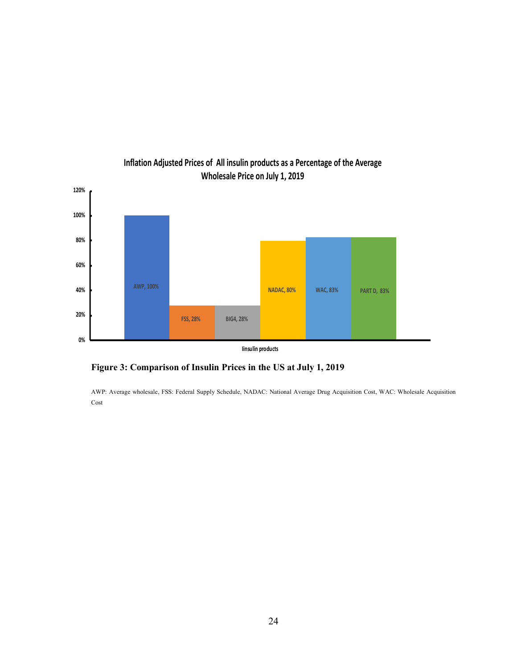

## **Inflation Adjusted Prices of All insulin products as a Percentage of the Average Wholesale Price on July 1, 2019**

**Figure 3: Comparison of Insulin Prices in the US at July 1, 2019**

AWP: Average wholesale, FSS: Federal Supply Schedule, NADAC: National Average Drug Acquisition Cost, WAC: Wholesale Acquisition Cost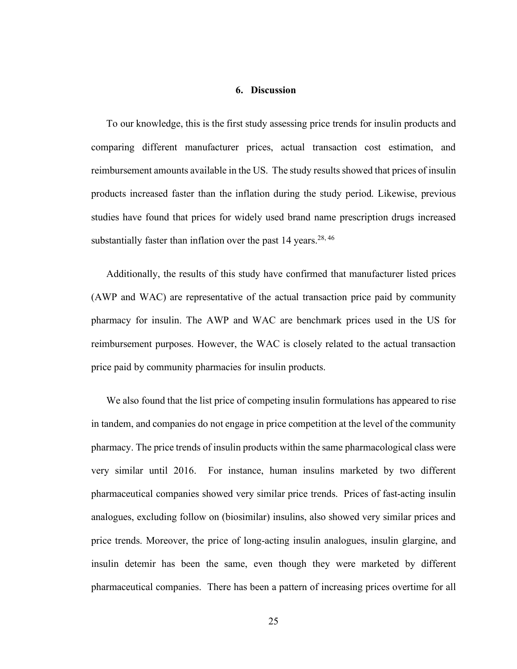#### **6. Discussion**

To our knowledge, this is the first study assessing price trends for insulin products and comparing different manufacturer prices, actual transaction cost estimation, and reimbursement amounts available in the US. The study results showed that prices of insulin products increased faster than the inflation during the study period. Likewise, previous studies have found that prices for widely used brand name prescription drugs increased substantially faster than inflation over the past 14 years.<sup>28, 46</sup>

Additionally, the results of this study have confirmed that manufacturer listed prices (AWP and WAC) are representative of the actual transaction price paid by community pharmacy for insulin. The AWP and WAC are benchmark prices used in the US for reimbursement purposes. However, the WAC is closely related to the actual transaction price paid by community pharmacies for insulin products.

We also found that the list price of competing insulin formulations has appeared to rise in tandem, and companies do not engage in price competition at the level of the community pharmacy. The price trends of insulin products within the same pharmacological class were very similar until 2016. For instance, human insulins marketed by two different pharmaceutical companies showed very similar price trends. Prices of fast-acting insulin analogues, excluding follow on (biosimilar) insulins, also showed very similar prices and price trends. Moreover, the price of long-acting insulin analogues, insulin glargine, and insulin detemir has been the same, even though they were marketed by different pharmaceutical companies. There has been a pattern of increasing prices overtime for all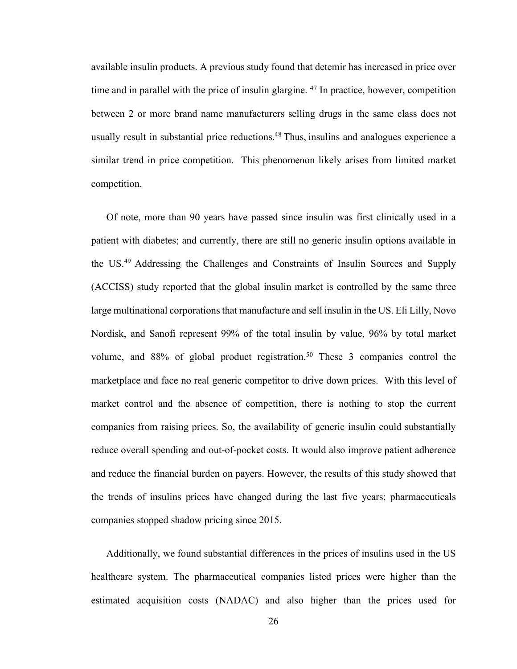available insulin products. A previous study found that detemir has increased in price over time and in parallel with the price of insulin glargine.  $47$  In practice, however, competition between 2 or more brand name manufacturers selling drugs in the same class does not usually result in substantial price reductions.<sup>48</sup> Thus, insulins and analogues experience a similar trend in price competition. This phenomenon likely arises from limited market competition.

Of note, more than 90 years have passed since insulin was first clinically used in a patient with diabetes; and currently, there are still no generic insulin options available in the US.49 Addressing the Challenges and Constraints of Insulin Sources and Supply (ACCISS) study reported that the global insulin market is controlled by the same three large multinational corporations that manufacture and sell insulin in the US. Eli Lilly, Novo Nordisk, and Sanofi represent 99% of the total insulin by value, 96% by total market volume, and 88% of global product registration. <sup>50</sup> These 3 companies control the marketplace and face no real generic competitor to drive down prices. With this level of market control and the absence of competition, there is nothing to stop the current companies from raising prices. So, the availability of generic insulin could substantially reduce overall spending and out-of-pocket costs. It would also improve patient adherence and reduce the financial burden on payers. However, the results of this study showed that the trends of insulins prices have changed during the last five years; pharmaceuticals companies stopped shadow pricing since 2015.

Additionally, we found substantial differences in the prices of insulins used in the US healthcare system. The pharmaceutical companies listed prices were higher than the estimated acquisition costs (NADAC) and also higher than the prices used for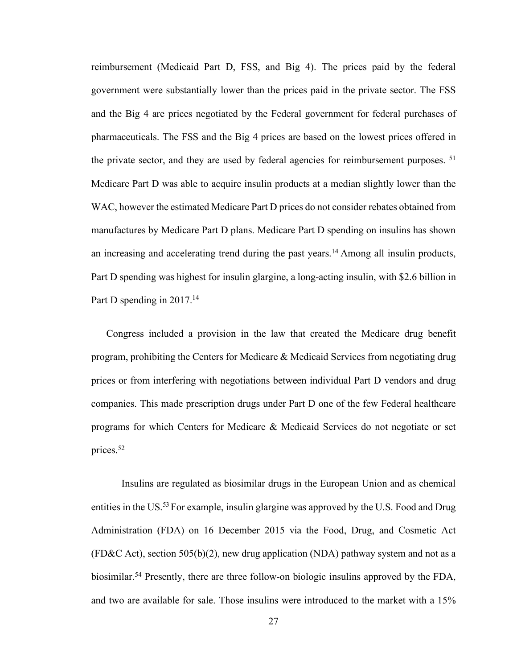reimbursement (Medicaid Part D, FSS, and Big 4). The prices paid by the federal government were substantially lower than the prices paid in the private sector. The FSS and the Big 4 are prices negotiated by the Federal government for federal purchases of pharmaceuticals. The FSS and the Big 4 prices are based on the lowest prices offered in the private sector, and they are used by federal agencies for reimbursement purposes. <sup>51</sup> Medicare Part D was able to acquire insulin products at a median slightly lower than the WAC, however the estimated Medicare Part D prices do not consider rebates obtained from manufactures by Medicare Part D plans. Medicare Part D spending on insulins has shown an increasing and accelerating trend during the past years. <sup>14</sup> Among all insulin products, Part D spending was highest for insulin glargine, a long-acting insulin, with \$2.6 billion in Part D spending in 2017.<sup>14</sup>

Congress included a provision in the law that created the Medicare drug benefit program, prohibiting the Centers for Medicare & Medicaid Services from negotiating drug prices or from interfering with negotiations between individual Part D vendors and drug companies. This made prescription drugs under Part D one of the few Federal healthcare programs for which Centers for Medicare & Medicaid Services do not negotiate or set prices.52

Insulins are regulated as biosimilar drugs in the European Union and as chemical entities in the US.<sup>53</sup> For example, insulin glargine was approved by the U.S. Food and Drug Administration (FDA) on 16 December 2015 via the Food, Drug, and Cosmetic Act  $(FD&C \text{ Act})$ , section 505(b)(2), new drug application (NDA) pathway system and not as a biosimilar.<sup>54</sup> Presently, there are three follow-on biologic insulins approved by the FDA, and two are available for sale. Those insulins were introduced to the market with a 15%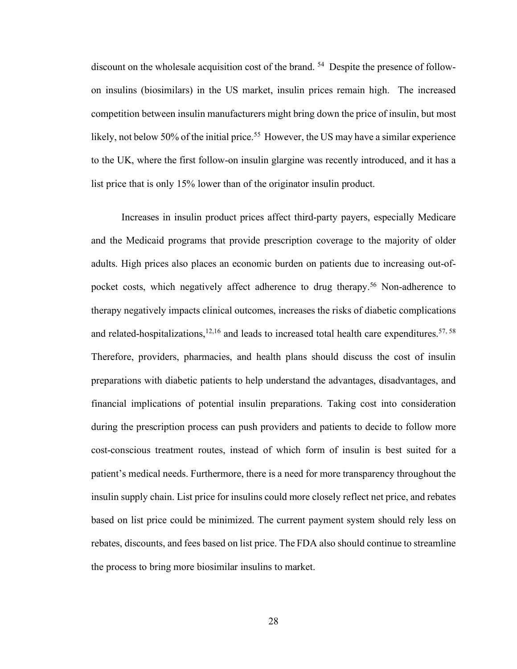discount on the wholesale acquisition cost of the brand. 54 Despite the presence of followon insulins (biosimilars) in the US market, insulin prices remain high. The increased competition between insulin manufacturers might bring down the price of insulin, but most likely, not below 50% of the initial price.<sup>55</sup> However, the US may have a similar experience to the UK, where the first follow-on insulin glargine was recently introduced, and it has a list price that is only 15% lower than of the originator insulin product.

Increases in insulin product prices affect third-party payers, especially Medicare and the Medicaid programs that provide prescription coverage to the majority of older adults. High prices also places an economic burden on patients due to increasing out-ofpocket costs, which negatively affect adherence to drug therapy.56 Non-adherence to therapy negatively impacts clinical outcomes, increases the risks of diabetic complications and related-hospitalizations, $12,16$  and leads to increased total health care expenditures.  $57, 58$ Therefore, providers, pharmacies, and health plans should discuss the cost of insulin preparations with diabetic patients to help understand the advantages, disadvantages, and financial implications of potential insulin preparations. Taking cost into consideration during the prescription process can push providers and patients to decide to follow more cost-conscious treatment routes, instead of which form of insulin is best suited for a patient's medical needs. Furthermore, there is a need for more transparency throughout the insulin supply chain. List price for insulins could more closely reflect net price, and rebates based on list price could be minimized. The current payment system should rely less on rebates, discounts, and fees based on list price. The FDA also should continue to streamline the process to bring more biosimilar insulins to market.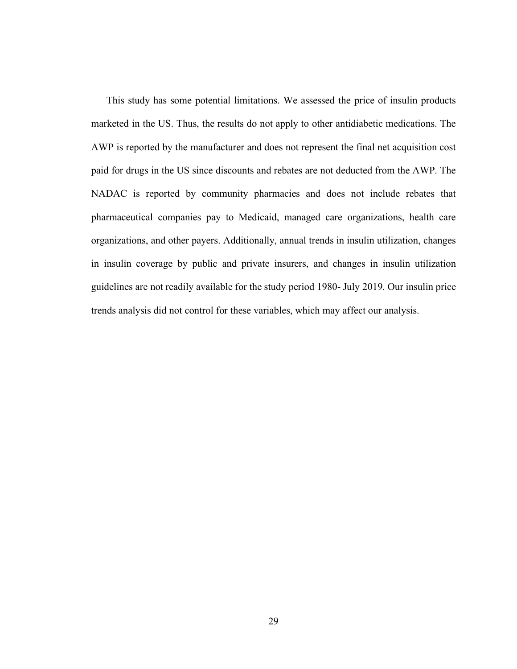This study has some potential limitations. We assessed the price of insulin products marketed in the US. Thus, the results do not apply to other antidiabetic medications. The AWP is reported by the manufacturer and does not represent the final net acquisition cost paid for drugs in the US since discounts and rebates are not deducted from the AWP. The NADAC is reported by community pharmacies and does not include rebates that pharmaceutical companies pay to Medicaid, managed care organizations, health care organizations, and other payers. Additionally, annual trends in insulin utilization, changes in insulin coverage by public and private insurers, and changes in insulin utilization guidelines are not readily available for the study period 1980- July 2019. Our insulin price trends analysis did not control for these variables, which may affect our analysis.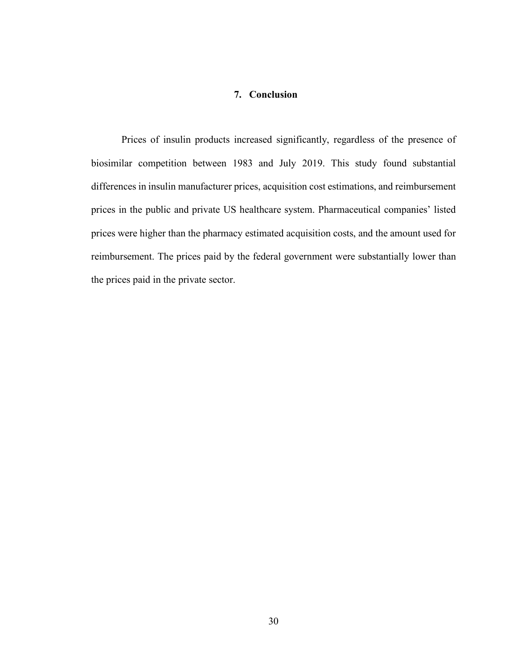### **7. Conclusion**

Prices of insulin products increased significantly, regardless of the presence of biosimilar competition between 1983 and July 2019. This study found substantial differences in insulin manufacturer prices, acquisition cost estimations, and reimbursement prices in the public and private US healthcare system. Pharmaceutical companies' listed prices were higher than the pharmacy estimated acquisition costs, and the amount used for reimbursement. The prices paid by the federal government were substantially lower than the prices paid in the private sector.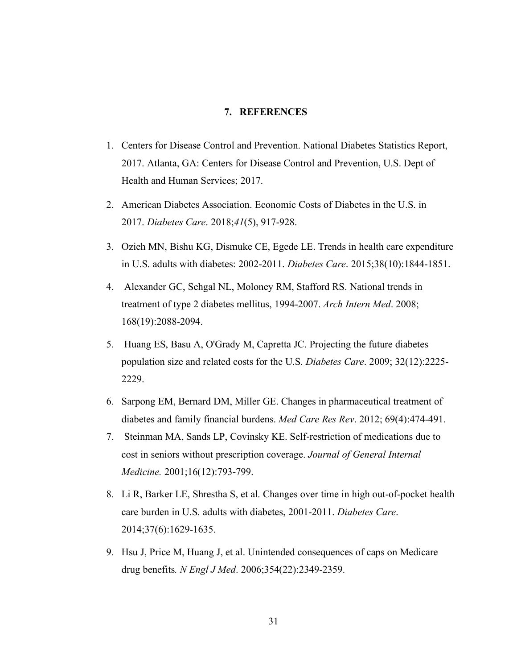#### **7. REFERENCES**

- 1. Centers for Disease Control and Prevention. National Diabetes Statistics Report, 2017. Atlanta, GA: Centers for Disease Control and Prevention, U.S. Dept of Health and Human Services; 2017.
- 2. American Diabetes Association. Economic Costs of Diabetes in the U.S. in 2017. *Diabetes Care*. 2018;*41*(5), 917-928.
- 3. Ozieh MN, Bishu KG, Dismuke CE, Egede LE. Trends in health care expenditure in U.S. adults with diabetes: 2002-2011. *Diabetes Care*. 2015;38(10):1844-1851.
- 4. Alexander GC, Sehgal NL, Moloney RM, Stafford RS. National trends in treatment of type 2 diabetes mellitus, 1994-2007. *Arch Intern Med*. 2008; 168(19):2088-2094.
- 5. Huang ES, Basu A, O'Grady M, Capretta JC. Projecting the future diabetes population size and related costs for the U.S. *Diabetes Care*. 2009; 32(12):2225- 2229.
- 6. Sarpong EM, Bernard DM, Miller GE. Changes in pharmaceutical treatment of diabetes and family financial burdens. *Med Care Res Rev*. 2012; 69(4):474-491.
- 7. Steinman MA, Sands LP, Covinsky KE. Self-restriction of medications due to cost in seniors without prescription coverage. *Journal of General Internal Medicine.* 2001;16(12):793-799.
- 8. Li R, Barker LE, Shrestha S, et al. Changes over time in high out-of-pocket health care burden in U.S. adults with diabetes, 2001-2011. *Diabetes Care*. 2014;37(6):1629-1635.
- 9. Hsu J, Price M, Huang J, et al. Unintended consequences of caps on Medicare drug benefits*. N Engl J Med*. 2006;354(22):2349-2359.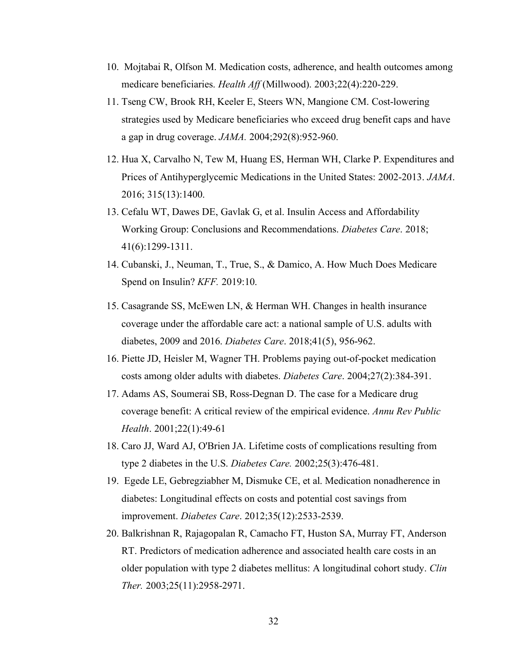- 10. Mojtabai R, Olfson M. Medication costs, adherence, and health outcomes among medicare beneficiaries. *Health Aff* (Millwood). 2003;22(4):220-229.
- 11. Tseng CW, Brook RH, Keeler E, Steers WN, Mangione CM. Cost-lowering strategies used by Medicare beneficiaries who exceed drug benefit caps and have a gap in drug coverage. *JAMA.* 2004;292(8):952-960.
- 12. Hua X, Carvalho N, Tew M, Huang ES, Herman WH, Clarke P. Expenditures and Prices of Antihyperglycemic Medications in the United States: 2002-2013. *JAMA*. 2016; 315(13):1400.
- 13. Cefalu WT, Dawes DE, Gavlak G, et al. Insulin Access and Affordability Working Group: Conclusions and Recommendations. *Diabetes Care*. 2018; 41(6):1299-1311.
- 14. Cubanski, J., Neuman, T., True, S., & Damico, A. How Much Does Medicare Spend on Insulin? *KFF.* 2019:10.
- 15. Casagrande SS, McEwen LN, & Herman WH. Changes in health insurance coverage under the affordable care act: a national sample of U.S. adults with diabetes, 2009 and 2016. *Diabetes Care*. 2018;41(5), 956-962.
- 16. Piette JD, Heisler M, Wagner TH. Problems paying out-of-pocket medication costs among older adults with diabetes. *Diabetes Care*. 2004;27(2):384-391.
- 17. Adams AS, Soumerai SB, Ross-Degnan D. The case for a Medicare drug coverage benefit: A critical review of the empirical evidence. *Annu Rev Public Health*. 2001;22(1):49-61
- 18. Caro JJ, Ward AJ, O'Brien JA. Lifetime costs of complications resulting from type 2 diabetes in the U.S. *Diabetes Care.* 2002;25(3):476-481.
- 19. Egede LE, Gebregziabher M, Dismuke CE, et al. Medication nonadherence in diabetes: Longitudinal effects on costs and potential cost savings from improvement. *Diabetes Care*. 2012;35(12):2533-2539.
- 20. Balkrishnan R, Rajagopalan R, Camacho FT, Huston SA, Murray FT, Anderson RT. Predictors of medication adherence and associated health care costs in an older population with type 2 diabetes mellitus: A longitudinal cohort study. *Clin Ther.* 2003;25(11):2958-2971.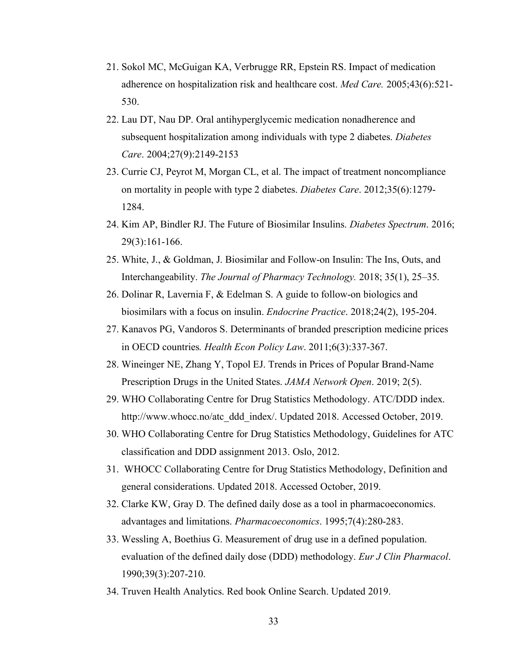- 21. Sokol MC, McGuigan KA, Verbrugge RR, Epstein RS. Impact of medication adherence on hospitalization risk and healthcare cost. *Med Care.* 2005;43(6):521- 530.
- 22. Lau DT, Nau DP. Oral antihyperglycemic medication nonadherence and subsequent hospitalization among individuals with type 2 diabetes. *Diabetes Care*. 2004;27(9):2149-2153
- 23. Currie CJ, Peyrot M, Morgan CL, et al. The impact of treatment noncompliance on mortality in people with type 2 diabetes. *Diabetes Care*. 2012;35(6):1279- 1284.
- 24. Kim AP, Bindler RJ. The Future of Biosimilar Insulins. *Diabetes Spectrum*. 2016; 29(3):161-166.
- 25. White, J., & Goldman, J. Biosimilar and Follow-on Insulin: The Ins, Outs, and Interchangeability. *The Journal of Pharmacy Technology.* 2018; 35(1), 25–35.
- 26. Dolinar R, Lavernia F, & Edelman S. A guide to follow-on biologics and biosimilars with a focus on insulin. *Endocrine Practice*. 2018;24(2), 195-204.
- 27. Kanavos PG, Vandoros S. Determinants of branded prescription medicine prices in OECD countries*. Health Econ Policy Law*. 2011;6(3):337-367.
- 28. Wineinger NE, Zhang Y, Topol EJ. Trends in Prices of Popular Brand-Name Prescription Drugs in the United States. *JAMA Network Open*. 2019; 2(5).
- 29. WHO Collaborating Centre for Drug Statistics Methodology. ATC/DDD index. http://www.whocc.no/atc\_ddd\_index/. Updated 2018. Accessed October, 2019.
- 30. WHO Collaborating Centre for Drug Statistics Methodology, Guidelines for ATC classification and DDD assignment 2013. Oslo, 2012.
- 31. WHOCC Collaborating Centre for Drug Statistics Methodology, Definition and general considerations. Updated 2018. Accessed October, 2019.
- 32. Clarke KW, Gray D. The defined daily dose as a tool in pharmacoeconomics. advantages and limitations. *Pharmacoeconomics*. 1995;7(4):280-283.
- 33. Wessling A, Boethius G. Measurement of drug use in a defined population. evaluation of the defined daily dose (DDD) methodology. *Eur J Clin Pharmacol*. 1990;39(3):207-210.
- 34. Truven Health Analytics. Red book Online Search. Updated 2019.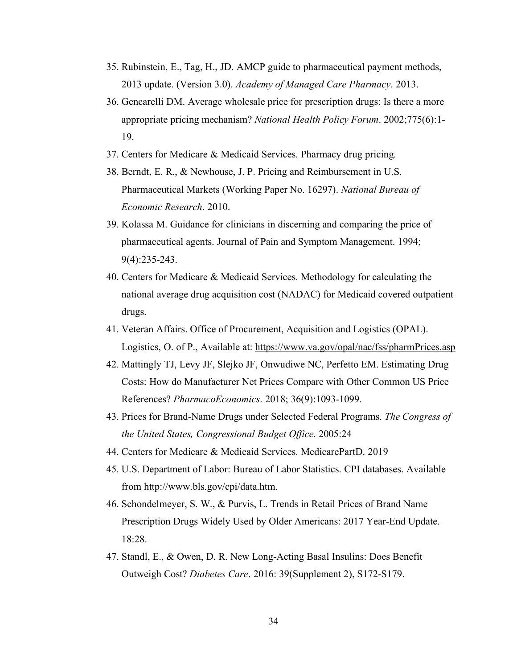- 35. Rubinstein, E., Tag, H., JD. AMCP guide to pharmaceutical payment methods, 2013 update. (Version 3.0). *Academy of Managed Care Pharmacy*. 2013.
- 36. Gencarelli DM. Average wholesale price for prescription drugs: Is there a more appropriate pricing mechanism? *National Health Policy Forum*. 2002;775(6):1- 19.
- 37. Centers for Medicare & Medicaid Services. Pharmacy drug pricing.
- 38. Berndt, E. R., & Newhouse, J. P. Pricing and Reimbursement in U.S. Pharmaceutical Markets (Working Paper No. 16297). *National Bureau of Economic Research*. 2010.
- 39. Kolassa M. Guidance for clinicians in discerning and comparing the price of pharmaceutical agents. Journal of Pain and Symptom Management. 1994; 9(4):235-243.
- 40. Centers for Medicare & Medicaid Services. Methodology for calculating the national average drug acquisition cost (NADAC) for Medicaid covered outpatient drugs.
- 41. Veteran Affairs. Office of Procurement, Acquisition and Logistics (OPAL). Logistics, O. of P., Available at: https://www.va.gov/opal/nac/fss/pharmPrices.asp
- 42. Mattingly TJ, Levy JF, Slejko JF, Onwudiwe NC, Perfetto EM. Estimating Drug Costs: How do Manufacturer Net Prices Compare with Other Common US Price References? *PharmacoEconomics*. 2018; 36(9):1093-1099.
- 43. Prices for Brand-Name Drugs under Selected Federal Programs. *The Congress of the United States, Congressional Budget Office*. 2005:24
- 44. Centers for Medicare & Medicaid Services. MedicarePartD. 2019
- 45. U.S. Department of Labor: Bureau of Labor Statistics. CPI databases. Available from http://www.bls.gov/cpi/data.htm.
- 46. Schondelmeyer, S. W., & Purvis, L. Trends in Retail Prices of Brand Name Prescription Drugs Widely Used by Older Americans: 2017 Year-End Update. 18:28.
- 47. Standl, E., & Owen, D. R. New Long-Acting Basal Insulins: Does Benefit Outweigh Cost? *Diabetes Care*. 2016: 39(Supplement 2), S172-S179.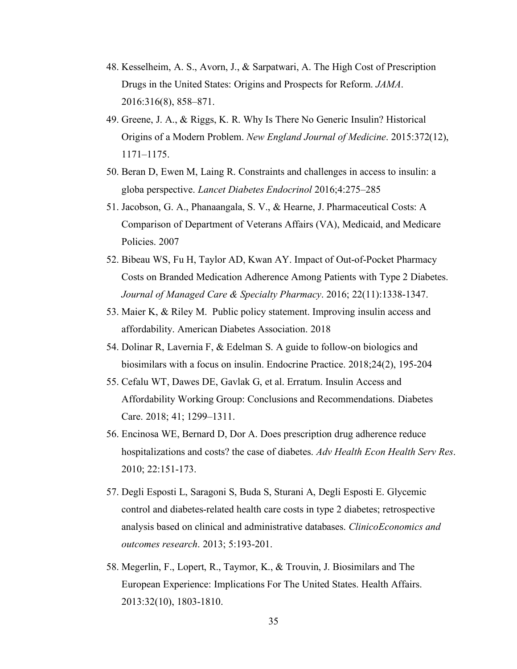- 48. Kesselheim, A. S., Avorn, J., & Sarpatwari, A. The High Cost of Prescription Drugs in the United States: Origins and Prospects for Reform. *JAMA*. 2016:316(8), 858–871.
- 49. Greene, J. A., & Riggs, K. R. Why Is There No Generic Insulin? Historical Origins of a Modern Problem. *New England Journal of Medicine*. 2015:372(12), 1171–1175.
- 50. Beran D, Ewen M, Laing R. Constraints and challenges in access to insulin: a globa perspective. *Lancet Diabetes Endocrinol* 2016;4:275–285
- 51. Jacobson, G. A., Phanaangala, S. V., & Hearne, J. Pharmaceutical Costs: A Comparison of Department of Veterans Affairs (VA), Medicaid, and Medicare Policies. 2007
- 52. Bibeau WS, Fu H, Taylor AD, Kwan AY. Impact of Out-of-Pocket Pharmacy Costs on Branded Medication Adherence Among Patients with Type 2 Diabetes. *Journal of Managed Care & Specialty Pharmacy*. 2016; 22(11):1338-1347.
- 53. Maier K, & Riley M. Public policy statement. Improving insulin access and affordability. American Diabetes Association. 2018
- 54. Dolinar R, Lavernia F, & Edelman S. A guide to follow-on biologics and biosimilars with a focus on insulin. Endocrine Practice. 2018;24(2), 195-204
- 55. Cefalu WT, Dawes DE, Gavlak G, et al. Erratum. Insulin Access and Affordability Working Group: Conclusions and Recommendations. Diabetes Care. 2018; 41; 1299–1311.
- 56. Encinosa WE, Bernard D, Dor A. Does prescription drug adherence reduce hospitalizations and costs? the case of diabetes. *Adv Health Econ Health Serv Res*. 2010; 22:151-173.
- 57. Degli Esposti L, Saragoni S, Buda S, Sturani A, Degli Esposti E. Glycemic control and diabetes-related health care costs in type 2 diabetes; retrospective analysis based on clinical and administrative databases. *ClinicoEconomics and outcomes research*. 2013; 5:193-201.
- 58. Megerlin, F., Lopert, R., Taymor, K., & Trouvin, J. Biosimilars and The European Experience: Implications For The United States. Health Affairs. 2013:32(10), 1803-1810.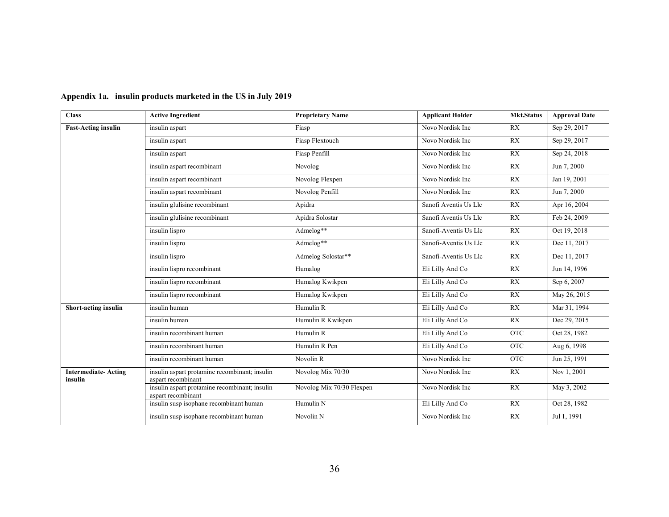| <b>Class</b>                          | <b>Active Ingredient</b>                                            | <b>Proprietary Name</b>   | <b>Applicant Holder</b> | <b>Mkt.Status</b> | <b>Approval Date</b> |
|---------------------------------------|---------------------------------------------------------------------|---------------------------|-------------------------|-------------------|----------------------|
| <b>Fast-Acting insulin</b>            | insulin aspart                                                      | Fiasp                     | Novo Nordisk Inc        | RX                | Sep 29, 2017         |
|                                       | insulin aspart                                                      | Fiasp Flextouch           | Novo Nordisk Inc        | RX                | Sep 29, 2017         |
|                                       | insulin aspart                                                      | Fiasp Penfill             | Novo Nordisk Inc        | RX                | Sep 24, 2018         |
|                                       | insulin aspart recombinant                                          | Novolog                   | Novo Nordisk Inc        | RX                | Jun 7, 2000          |
|                                       | insulin aspart recombinant                                          | Novolog Flexpen           | Novo Nordisk Inc        | RX                | Jan 19, 2001         |
|                                       | insulin aspart recombinant                                          | Novolog Penfill           | Novo Nordisk Inc        | RX                | Jun 7, 2000          |
|                                       | insulin glulisine recombinant                                       | Apidra                    | Sanofi Aventis Us Llc   | RX                | Apr 16, 2004         |
|                                       | insulin glulisine recombinant                                       | Apidra Solostar           | Sanofi Aventis Us Llc   | RX                | Feb 24, 2009         |
|                                       | insulin lispro                                                      | Admelog**                 | Sanofi-Aventis Us Llc   | RX                | Oct 19, 2018         |
|                                       | insulin lispro                                                      | Admelog**                 | Sanofi-Aventis Us Llc   | RX                | Dec 11, 2017         |
|                                       | insulin lispro                                                      | Admelog Solostar**        | Sanofi-Aventis Us Llc   | RX                | Dec 11, 2017         |
|                                       | insulin lispro recombinant                                          | Humalog                   | Eli Lilly And Co        | <b>RX</b>         | Jun 14, 1996         |
|                                       | insulin lispro recombinant                                          | Humalog Kwikpen           | Eli Lilly And Co        | RX                | Sep 6, 2007          |
|                                       | insulin lispro recombinant                                          | Humalog Kwikpen           | Eli Lilly And Co        | RX                | May 26, 2015         |
| Short-acting insulin                  | insulin human                                                       | Humulin R                 | Eli Lilly And Co        | RX                | Mar 31, 1994         |
|                                       | insulin human                                                       | Humulin R Kwikpen         | Eli Lilly And Co        | RX                | Dec 29, 2015         |
|                                       | insulin recombinant human                                           | Humulin R                 | Eli Lilly And Co        | <b>OTC</b>        | Oct 28, 1982         |
|                                       | insulin recombinant human                                           | Humulin R Pen             | Eli Lilly And Co        | <b>OTC</b>        | Aug 6, 1998          |
|                                       | insulin recombinant human                                           | Novolin <sub>R</sub>      | Novo Nordisk Inc        | <b>OTC</b>        | Jun 25, 1991         |
| <b>Intermediate-Acting</b><br>insulin | insulin aspart protamine recombinant; insulin<br>aspart recombinant | Novolog Mix 70/30         | Novo Nordisk Inc        | RX                | Nov 1, 2001          |
|                                       | insulin aspart protamine recombinant; insulin<br>aspart recombinant | Novolog Mix 70/30 Flexpen | Novo Nordisk Inc        | RX                | May 3, 2002          |
|                                       | insulin susp isophane recombinant human                             | Humulin N                 | Eli Lilly And Co        | RX                | Oct 28, 1982         |
|                                       | insulin susp isophane recombinant human                             | Novolin <sub>N</sub>      | Novo Nordisk Inc        | RX                | Jul 1, 1991          |

### **Appendix 1a. insulin products marketed in the US in July 2019**